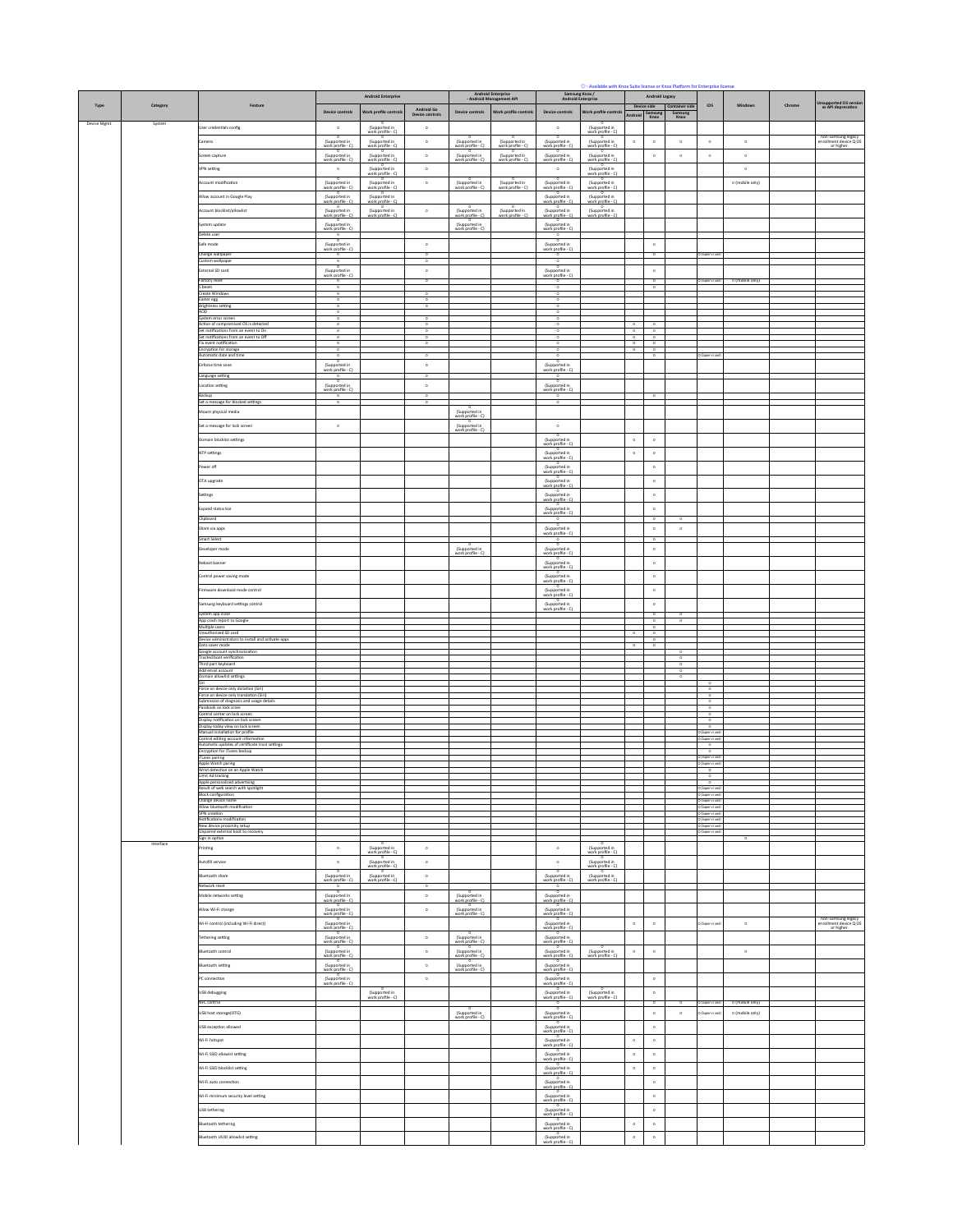|              |           |                                                                                                        |                                                                                                      | <b>Android Enterprise</b>          |                               |                                                                                                           | <b>Android Enterprise<br/>- Android Management API</b>         |                                                              | : Available with Knox Suite lice<br>Samsung Knox /<br>Android Enterprise |                          | <b>Android Legacy</b>                                | nse or Knox Platfo                  | for Enterprise lio                  |                               |        |                                                            |
|--------------|-----------|--------------------------------------------------------------------------------------------------------|------------------------------------------------------------------------------------------------------|------------------------------------|-------------------------------|-----------------------------------------------------------------------------------------------------------|----------------------------------------------------------------|--------------------------------------------------------------|--------------------------------------------------------------------------|--------------------------|------------------------------------------------------|-------------------------------------|-------------------------------------|-------------------------------|--------|------------------------------------------------------------|
| Type         | Category  | Feature                                                                                                |                                                                                                      |                                    |                               |                                                                                                           |                                                                |                                                              |                                                                          |                          |                                                      | Device side Container side          | ios                                 | Windows                       | Chrome | <b>Unsupported OS version</b><br>as API deprecation        |
|              |           |                                                                                                        | Device controls                                                                                      | Work profile contro                | Android Go<br>Device control: | Device controls                                                                                           | Work profile controls                                          | Device controls                                              | Work profile controls                                                    |                          | Android Samsung                                      | Samsung<br>Knox                     |                                     |                               |        |                                                            |
| Device Mgmt. | System    | User credentials config.                                                                               | $^\circ$                                                                                             | (Supported in<br>work profile - C) | $^\circ$                      |                                                                                                           |                                                                | $^\circ$                                                     | C<br>(Supported in<br>work profile - C)                                  |                          |                                                      |                                     |                                     |                               |        |                                                            |
|              |           | Camera                                                                                                 | (Supported in                                                                                        | (Supported in                      |                               | G<br>(Supported in                                                                                        | (Supported in                                                  | Gupported in                                                 | (Supported in                                                            |                          |                                                      |                                     |                                     |                               |        | non-Samsung legacy<br>enrollment device Q OS               |
|              |           |                                                                                                        | work profile - C)                                                                                    | vork profile - C)                  | $^\circ$                      | work profile - C)                                                                                         | work profile - C)                                              | work profile - C)                                            | work profile - C)                                                        | $^\circ$                 | $^\circ$                                             | $\circ$                             | $\circ$                             | $^{\circ}$                    |        | or higher.                                                 |
|              |           | Screen capture                                                                                         | (Supported in<br>work profile - C)                                                                   | (Supported in<br>vork profile - C) | $^\circ$                      | (Supported in<br>work profile - C)                                                                        | (Supported in<br>work profile - C)                             | (Supported in<br>work profile - C)                           | (Supported in<br>work profile - C)                                       |                          | $^{\circ}$                                           | $^{\circ}$                          | $^\circ$                            | $\circ$                       |        |                                                            |
|              |           | VPN setting                                                                                            | $\sim$ 0 $-$                                                                                         | (Supported in<br>vork profile - C) | $^\circ$                      |                                                                                                           |                                                                | $\circ$                                                      | (Supported in                                                            |                          |                                                      |                                     |                                     | $^{\circ}$                    |        |                                                            |
|              |           | Account modification                                                                                   | $\overline{\phantom{a}}$                                                                             |                                    | $\circ$                       | $\overline{\phantom{a}}$                                                                                  | $\overline{\phantom{a}}$<br>(Supported in<br>work profile - C) | $\overline{\phantom{a}}$                                     | vork profile - C)                                                        |                          |                                                      |                                     |                                     | o (mobile only)               |        |                                                            |
|              |           |                                                                                                        | (Supported in<br>work profile - C)<br>(Supported in                                                  | (Supported in<br>work profile - C) |                               | (Supported in<br>work profile - C)                                                                        |                                                                | (Supported in<br>work profile - C)<br>Supported in           | (Supported in<br>work profile - C)                                       |                          |                                                      |                                     |                                     |                               |        |                                                            |
|              |           | Allow account in Google Play                                                                           | work profile - C)                                                                                    | (Supported in<br>work profile - C) |                               |                                                                                                           |                                                                | work profile - C)                                            | (Supported in<br>work profile - C)                                       |                          |                                                      |                                     |                                     |                               |        |                                                            |
|              |           | Account blocklist/allowlist                                                                            | (Supported in<br>work profile - C)                                                                   | (Supported in<br>work profile - C) | $\circ$                       | $\overline{\phantom{a}}$<br>(Supported in<br>work profile - C)                                            | $\overline{\phantom{a}}$<br>(Supported in<br>work profile - C) | (Supported in<br>work profile - C)                           | (Supported in<br>work profile - C)                                       |                          |                                                      |                                     |                                     |                               |        |                                                            |
|              |           | System update                                                                                          | (Supported in<br>work profile - C)                                                                   |                                    |                               | (Supported in<br>work profile - C)                                                                        |                                                                | (Supported in<br>work profile - C)                           |                                                                          |                          |                                                      |                                     |                                     |                               |        |                                                            |
|              |           | Delete user                                                                                            |                                                                                                      |                                    |                               |                                                                                                           |                                                                |                                                              |                                                                          |                          |                                                      |                                     |                                     |                               |        |                                                            |
|              |           | Safe mode                                                                                              | (Supported in<br>work profile - C)                                                                   |                                    | $^\circ$                      |                                                                                                           |                                                                | (Supported in<br>work profile - C)                           |                                                                          |                          | $^\circ$                                             |                                     |                                     |                               |        |                                                            |
|              |           | Change wallpaper                                                                                       | $\circ$                                                                                              |                                    | $\circ$                       |                                                                                                           |                                                                | $\circ$                                                      |                                                                          |                          | $\overline{\phantom{a}}$                             |                                     | O (Supervised)                      |                               |        |                                                            |
|              |           | Custom wallpape                                                                                        | $\overline{a}$                                                                                       |                                    | $\circ$                       |                                                                                                           |                                                                | $\overline{a}$<br>G<br>Supported in                          |                                                                          |                          |                                                      |                                     |                                     |                               |        |                                                            |
|              |           | External SD card<br>Factory reset                                                                      | (Supported in<br>work profile - C)                                                                   |                                    | $^\circ$                      |                                                                                                           |                                                                | work profile - C)                                            |                                                                          |                          | $^\circ$                                             |                                     |                                     |                               |        |                                                            |
|              |           | S beam                                                                                                 | $\circ$                                                                                              |                                    | $\circ$                       |                                                                                                           |                                                                | $\circ$<br>$\circ$                                           |                                                                          |                          | $\overline{\phantom{a}}$<br>$\overline{\phantom{a}}$ |                                     |                                     | O(Supervised) O (mobile only) |        |                                                            |
|              |           | Create Windows<br>Easter egg                                                                           | $\circ$<br>$\circ$                                                                                   |                                    | $\circ$<br>$\circ$            |                                                                                                           |                                                                | $\overline{\phantom{a}}$<br>$\circ$                          |                                                                          |                          |                                                      |                                     |                                     |                               |        |                                                            |
|              |           | <b>Brightness setting</b>                                                                              | $\circ$                                                                                              |                                    | $\circ$                       |                                                                                                           |                                                                | $\circ$<br>$\circ$                                           |                                                                          |                          |                                                      |                                     |                                     |                               |        |                                                            |
|              |           | AOD<br>System error screen<br>Action of compromised OS is detected                                     | $\circ$                                                                                              |                                    | $\overline{\circ}$            |                                                                                                           |                                                                | $\circ$                                                      |                                                                          |                          |                                                      |                                     |                                     |                               |        |                                                            |
|              |           | Set notifications from an event to On                                                                  | $\circ$<br>$\circ$                                                                                   |                                    | $\circ$<br>$\circ$            |                                                                                                           |                                                                | $\circ$<br>$\overline{\phantom{a}}$                          |                                                                          | $\circ$<br>$\sim$        | $\circ$<br>$\overline{\phantom{a}}$                  |                                     |                                     |                               |        |                                                            |
|              |           | Set notifications from an event to Off<br>Fix event notification                                       | $\circ$<br>$\circ$                                                                                   |                                    | $\circ$<br>$\circ$            |                                                                                                           |                                                                | $\circ$<br>$\circ$                                           |                                                                          | $\circ$ $\circ$          | $0$ 0                                                |                                     |                                     |                               |        |                                                            |
|              |           | Encryption for storage<br>Automatic date and time                                                      |                                                                                                      |                                    | $\circ$                       |                                                                                                           |                                                                |                                                              |                                                                          | $\overline{\ }$          | $\overline{\phantom{a}}$<br>$\overline{\phantom{a}}$ |                                     | O (Supervised)                      |                               |        |                                                            |
|              |           | Enforce time zone                                                                                      | (Supported in                                                                                        |                                    | $\circ$                       |                                                                                                           |                                                                | (Supported in                                                |                                                                          |                          |                                                      |                                     |                                     |                               |        |                                                            |
|              |           | Language setting                                                                                       | work profile - C)                                                                                    |                                    | $\circ$                       |                                                                                                           |                                                                | work profile - C)                                            |                                                                          |                          |                                                      |                                     |                                     |                               |        |                                                            |
|              |           | ocation setting                                                                                        | $\overline{\phantom{a}}$                                                                             |                                    | $\circ$                       |                                                                                                           |                                                                | $\overline{\phantom{a}}$                                     |                                                                          |                          |                                                      |                                     |                                     |                               |        |                                                            |
|              |           | Backup<br>Set a message for blocked settings                                                           | (Supported in<br>work profile - C)                                                                   |                                    | $\overline{\phantom{0}}$      |                                                                                                           |                                                                | (Supported in<br>work profile - C)<br>$\circ$                |                                                                          |                          | $\bullet$                                            |                                     |                                     |                               |        |                                                            |
|              |           |                                                                                                        | $\circ$                                                                                              |                                    | $\circ$                       |                                                                                                           |                                                                | $\circ$                                                      |                                                                          |                          |                                                      |                                     |                                     |                               |        |                                                            |
|              |           | Mount physical media                                                                                   |                                                                                                      |                                    |                               | (Supported in<br>vork profile - C)                                                                        |                                                                |                                                              |                                                                          |                          |                                                      |                                     |                                     |                               |        |                                                            |
|              |           | Set a message for lock screen                                                                          | $^\circ$                                                                                             |                                    |                               | (Supported in<br>work profile - C)                                                                        |                                                                | $\circ$                                                      |                                                                          |                          |                                                      |                                     |                                     |                               |        |                                                            |
|              |           | Domain blocklist settings                                                                              |                                                                                                      |                                    |                               |                                                                                                           |                                                                | (Supported in                                                |                                                                          | $^\circ$                 | $\circ$                                              |                                     |                                     |                               |        |                                                            |
|              |           |                                                                                                        |                                                                                                      |                                    |                               |                                                                                                           |                                                                | work profile - C)                                            |                                                                          |                          |                                                      |                                     |                                     |                               |        |                                                            |
|              |           | NTP settings                                                                                           |                                                                                                      |                                    |                               |                                                                                                           |                                                                | (Supported in<br>work profile - C)                           |                                                                          | $\circ$                  | $^\circ$                                             |                                     |                                     |                               |        |                                                            |
|              |           | ower off                                                                                               |                                                                                                      |                                    |                               |                                                                                                           |                                                                | (Supported in<br>work profile - C)                           |                                                                          |                          | $^{\circ}$                                           |                                     |                                     |                               |        |                                                            |
|              |           | OTA upgrade                                                                                            |                                                                                                      |                                    |                               |                                                                                                           |                                                                | $o$<br>(Supported in                                         |                                                                          |                          | $^\circ$                                             |                                     |                                     |                               |        |                                                            |
|              |           |                                                                                                        |                                                                                                      |                                    |                               |                                                                                                           |                                                                | work profile - C)                                            |                                                                          |                          |                                                      |                                     |                                     |                               |        |                                                            |
|              |           | Settings                                                                                               |                                                                                                      |                                    |                               |                                                                                                           |                                                                | (Supported in<br>work.profile - C)                           |                                                                          |                          | $^\circ$                                             |                                     |                                     |                               |        |                                                            |
|              |           | xpand status bar                                                                                       |                                                                                                      |                                    |                               |                                                                                                           |                                                                | (Supported in                                                |                                                                          |                          | $^\circ$                                             |                                     |                                     |                               |        |                                                            |
|              |           | Clipboard                                                                                              |                                                                                                      |                                    |                               |                                                                                                           |                                                                | work profile - C)                                            |                                                                          |                          | $\circ$                                              |                                     |                                     |                               |        |                                                            |
|              |           | Share via apps                                                                                         |                                                                                                      |                                    |                               |                                                                                                           |                                                                | G<br>(Supported in<br>work profile - C)                      |                                                                          |                          | $\circ$                                              | $^{\circ}$                          |                                     |                               |        |                                                            |
|              |           | Smart Select                                                                                           |                                                                                                      |                                    |                               |                                                                                                           |                                                                | $\overline{\phantom{a}}$                                     |                                                                          |                          | $\circ$                                              |                                     |                                     |                               |        |                                                            |
|              |           | leveloper mode                                                                                         |                                                                                                      |                                    |                               | (Supported in<br>work profile - C)                                                                        |                                                                | (Supported in<br>work profile - C)                           |                                                                          |                          | $^{\circ}$                                           |                                     |                                     |                               |        |                                                            |
|              |           | Reboot banner                                                                                          |                                                                                                      |                                    |                               |                                                                                                           |                                                                | (Supported in                                                |                                                                          |                          | $^\circ$                                             |                                     |                                     |                               |        |                                                            |
|              |           | Control power saving mode                                                                              |                                                                                                      |                                    |                               |                                                                                                           |                                                                | work profile - C)<br>(Supported in                           |                                                                          |                          | $^\circ$                                             |                                     |                                     |                               |        |                                                            |
|              |           |                                                                                                        |                                                                                                      |                                    |                               |                                                                                                           |                                                                | work profile - C)                                            |                                                                          |                          |                                                      |                                     |                                     |                               |        |                                                            |
|              |           | Firmware download mode control                                                                         |                                                                                                      |                                    |                               |                                                                                                           |                                                                | (Supported in<br>work profile - C)                           |                                                                          |                          | $^{\circ}$                                           |                                     |                                     |                               |        |                                                            |
|              |           | msung keyboard settings control                                                                        |                                                                                                      |                                    |                               |                                                                                                           |                                                                | Gupported in<br>work profile - C)                            |                                                                          |                          | $^\circ$                                             |                                     |                                     |                               |        |                                                            |
|              |           | System app close                                                                                       |                                                                                                      |                                    |                               |                                                                                                           |                                                                |                                                              |                                                                          |                          | $\circ$                                              | $\circ$                             |                                     |                               |        |                                                            |
|              |           | App crash report to Google<br>Multiple users                                                           |                                                                                                      |                                    |                               |                                                                                                           |                                                                |                                                              |                                                                          |                          | $\overline{\phantom{a}}$<br>$\overline{\phantom{a}}$ | $^{\circ}$                          |                                     |                               |        |                                                            |
|              |           | Unauthorized SD card<br>ninistrators to install and activate apps<br>vice adm                          |                                                                                                      |                                    |                               |                                                                                                           |                                                                |                                                              |                                                                          | $\circ$                  | $\sim$<br>$\overline{\phantom{a}}$                   |                                     |                                     |                               |        |                                                            |
|              |           | Data saver mode                                                                                        |                                                                                                      |                                    |                               |                                                                                                           |                                                                |                                                              |                                                                          | $\overline{\phantom{0}}$ | $\overline{\phantom{a}}$                             |                                     |                                     |                               |        |                                                            |
|              |           | Google account synchronization<br>ted boot verification                                                |                                                                                                      |                                    |                               |                                                                                                           |                                                                |                                                              |                                                                          |                          |                                                      | $\circ$<br>$\overline{\phantom{0}}$ |                                     |                               |        |                                                            |
|              |           | Third part keyboard<br>Add email account                                                               |                                                                                                      |                                    |                               |                                                                                                           |                                                                |                                                              |                                                                          |                          |                                                      | $\overline{\phantom{a}}$<br>$\circ$ |                                     |                               |        |                                                            |
|              |           | main allowlist settings                                                                                |                                                                                                      |                                    |                               |                                                                                                           |                                                                |                                                              |                                                                          |                          |                                                      |                                     |                                     |                               |        |                                                            |
|              |           | Force on device only dictation (Siri)                                                                  |                                                                                                      |                                    |                               |                                                                                                           |                                                                |                                                              |                                                                          |                          |                                                      |                                     | $\overline{\phantom{0}}$<br>$\circ$ |                               |        |                                                            |
|              |           | Force on device only translation (Siri)<br>Submission of diagnosis and usage details                   |                                                                                                      |                                    |                               |                                                                                                           |                                                                |                                                              |                                                                          |                          |                                                      |                                     | $\circ$<br>$\overline{\phantom{a}}$ |                               |        |                                                            |
|              |           | Passbook on lock scree                                                                                 |                                                                                                      |                                    |                               |                                                                                                           |                                                                |                                                              |                                                                          |                          |                                                      |                                     | $\circ$                             |                               |        |                                                            |
|              |           | Control center on lock screen<br>Display notification on lock screen                                   |                                                                                                      |                                    |                               |                                                                                                           |                                                                |                                                              |                                                                          |                          |                                                      |                                     | $\overline{\ }$<br>$\circ$          |                               |        |                                                            |
|              |           | Display today view on lock screen<br>Manual installation for profile<br>inual installation for profile |                                                                                                      |                                    |                               |                                                                                                           |                                                                |                                                              |                                                                          |                          |                                                      |                                     | $\circ$<br>upervised                |                               |        |                                                            |
|              |           | Control editing account information                                                                    |                                                                                                      |                                    |                               |                                                                                                           |                                                                |                                                              |                                                                          |                          |                                                      |                                     | Gupervised                          |                               |        |                                                            |
|              |           | Automatic updates of certificate trust settings<br>Encryption for iTunes backup                        |                                                                                                      |                                    |                               |                                                                                                           |                                                                |                                                              |                                                                          |                          |                                                      |                                     | $\circ$<br>$\overline{\ }$          |                               |        |                                                            |
|              |           | Tunes pairing<br>Apple Watch paring                                                                    |                                                                                                      |                                    |                               |                                                                                                           |                                                                |                                                              |                                                                          |                          |                                                      |                                     | Gupervised<br>O (Supervised)        |                               |        |                                                            |
|              |           | ist detection on an Apple Watch<br>Limit Ad trackng                                                    |                                                                                                      |                                    |                               |                                                                                                           |                                                                |                                                              |                                                                          |                          |                                                      |                                     | $\circ$<br>$\circ$                  |                               |        |                                                            |
|              |           | ile personalized                                                                                       |                                                                                                      |                                    |                               |                                                                                                           |                                                                |                                                              |                                                                          |                          |                                                      |                                     |                                     |                               |        |                                                            |
|              |           | Result of web search with spotlight                                                                    |                                                                                                      |                                    |                               |                                                                                                           |                                                                |                                                              |                                                                          |                          |                                                      |                                     | (Supervised<br>O (Supervised)       |                               |        |                                                            |
|              |           | Block configuration<br>Change device name<br>Allow bluetooth modification                              |                                                                                                      |                                    |                               |                                                                                                           |                                                                |                                                              |                                                                          |                          |                                                      |                                     | O (Supervised)<br>(Supervised)      |                               |        |                                                            |
|              |           | VPN creation<br>Notifications n<br>efications modification                                             |                                                                                                      |                                    |                               |                                                                                                           |                                                                |                                                              |                                                                          |                          |                                                      |                                     | Supervised                          |                               |        |                                                            |
|              |           | New device proximity setup                                                                             |                                                                                                      |                                    |                               |                                                                                                           |                                                                |                                                              |                                                                          |                          |                                                      |                                     | (Supervised)<br>O (Supervised)      |                               |        |                                                            |
|              |           | Unpaired external boot to recovery<br>Sign in option                                                   |                                                                                                      |                                    |                               |                                                                                                           |                                                                |                                                              |                                                                          |                          |                                                      |                                     | O (Supervised)                      |                               |        |                                                            |
|              | Interface | rinting                                                                                                | $\circ$                                                                                              | (Supported in<br>work profile - C) | $^\circ$                      |                                                                                                           |                                                                | $\circ$                                                      | (Supported in<br>work profile - C)                                       |                          |                                                      |                                     |                                     |                               |        |                                                            |
|              |           | Autofill service                                                                                       | $^{\circ}$                                                                                           | (Supported in                      | $\circ$                       |                                                                                                           |                                                                | $^{\circ}$                                                   | (Supported in                                                            |                          |                                                      |                                     |                                     |                               |        |                                                            |
|              |           |                                                                                                        |                                                                                                      | work profile - C)                  |                               |                                                                                                           |                                                                |                                                              | work profile - C)                                                        |                          |                                                      |                                     |                                     |                               |        |                                                            |
|              |           | <b>Bluetooth share</b>                                                                                 | (Supported in<br>work profile - C)                                                                   | (Supported in<br>work profile - C) | $\circ$                       |                                                                                                           |                                                                | (Supported in<br>work profile - C)                           | (Supported in<br>work profile - C)                                       |                          |                                                      |                                     |                                     |                               |        |                                                            |
|              |           | Network reset                                                                                          |                                                                                                      |                                    | $\overline{a}$                |                                                                                                           |                                                                |                                                              |                                                                          |                          |                                                      |                                     |                                     |                               |        |                                                            |
|              |           | lobile networks setting                                                                                | $\frac{0}{\text{(Supported in}}}$<br>work profile - C)                                               |                                    | $\circ$                       | O<br>(Supported in<br>work profile - C)                                                                   |                                                                | (Supported in<br>work profile - C)                           |                                                                          |                          |                                                      |                                     |                                     |                               |        |                                                            |
|              |           | Allow Wi-Fi change                                                                                     | o<br>(Supported in<br>work profile - C)                                                              |                                    | $^\circ$                      | (Supported in<br>work profile - C)                                                                        |                                                                | (Supported in<br>work profile - C)                           |                                                                          |                          |                                                      |                                     |                                     |                               |        |                                                            |
|              |           | Wi-Fi control (including Wi-Fi direct)                                                                 | (Supported in<br>work profile - C)                                                                   |                                    |                               |                                                                                                           |                                                                | (Supported in<br>work profile - C)                           |                                                                          | $^\circ$                 | $^{\circ}$                                           |                                     | (Supervise                          | $\circ$                       |        | non-Samsung legacy<br>enrollment device Q OS<br>or higher. |
|              |           |                                                                                                        |                                                                                                      |                                    |                               |                                                                                                           |                                                                |                                                              |                                                                          |                          |                                                      |                                     |                                     |                               |        |                                                            |
|              |           | Tethering setting                                                                                      | o<br>(Supported in<br>work profile - C)                                                              |                                    | $\circ$                       | (Supported in<br>work profile - C)                                                                        |                                                                | (Supported in<br>work profile - C)                           |                                                                          |                          |                                                      |                                     |                                     |                               |        |                                                            |
|              |           | uetooth control                                                                                        | $\begin{array}{c} \circ \\ \text{(Supported in)} \\ \text{work profile} \cdot \text{C)} \end{array}$ |                                    | $^\circ$                      | $\begin{array}{c} \circ \\ \text{(Supported in)} \\ \underline{\text{work profile} \cdot C)} \end{array}$ |                                                                | Supported in<br>work profile - C)                            | (Supported in<br>work profile - C)                                       | $^\circ$                 | $^\circ$                                             |                                     |                                     | $^\circ$                      |        |                                                            |
|              |           | luetooth setting                                                                                       | (Supported in                                                                                        |                                    | $^\circ$                      | (Supported in                                                                                             |                                                                | (Supported in                                                |                                                                          |                          |                                                      |                                     |                                     |                               |        |                                                            |
|              |           |                                                                                                        | work profile - C)                                                                                    |                                    |                               | vork profile - C)                                                                                         |                                                                | work profile - C)                                            |                                                                          |                          |                                                      |                                     |                                     |                               |        |                                                            |
|              |           | PC connection                                                                                          | (Supported in<br>work profile - C)                                                                   |                                    | $^{\circ}$                    |                                                                                                           |                                                                | (Supported in<br>work profile - C)                           |                                                                          |                          | $^{\circ}$                                           |                                     |                                     |                               |        |                                                            |
|              |           | <b>USB debugging</b>                                                                                   |                                                                                                      | (Supported in<br>ork profile - Cl  |                               |                                                                                                           |                                                                | (Supported in<br>vork profile - C)                           | (Supported in<br>vork profile - C)                                       |                          | $^{\circ}$                                           |                                     |                                     |                               |        |                                                            |
|              |           | NFC control                                                                                            |                                                                                                      |                                    |                               |                                                                                                           |                                                                |                                                              |                                                                          |                          | $\circ$                                              | $^{\circ}$                          | O (Supervised)                      | o (mobile only)               |        |                                                            |
|              |           | USB host storage(OTG)                                                                                  |                                                                                                      |                                    |                               | (Supported in<br>work profile - C)                                                                        |                                                                | O<br>(Supported in<br>work profile - C)                      |                                                                          |                          | $^\circ$                                             | $^\circ$                            | (Supervised                         | o (mobile only)               |        |                                                            |
|              |           | USB exception allowed                                                                                  |                                                                                                      |                                    |                               |                                                                                                           |                                                                | (Supported in                                                |                                                                          |                          | $^\circ$                                             |                                     |                                     |                               |        |                                                            |
|              |           | Wi-Fi hotspot                                                                                          |                                                                                                      |                                    |                               |                                                                                                           |                                                                | work profile - C)<br>O<br>(Supported in<br>work profile - C) |                                                                          | $^\circ$                 | $^\circ$                                             |                                     |                                     |                               |        |                                                            |
|              |           |                                                                                                        |                                                                                                      |                                    |                               |                                                                                                           |                                                                |                                                              |                                                                          |                          |                                                      |                                     |                                     |                               |        |                                                            |
|              |           | Wi-Fi SSID allowist setting                                                                            |                                                                                                      |                                    |                               |                                                                                                           |                                                                | (Supported in<br>work profile - C)                           |                                                                          | $^\circ$                 | $^\circ$                                             |                                     |                                     |                               |        |                                                            |
|              |           | Wi-Fi SSID blocklist setting                                                                           |                                                                                                      |                                    |                               |                                                                                                           |                                                                | (Supported in<br>work profile - C)                           |                                                                          | $^\circ$                 | $^{\circ}$                                           |                                     |                                     |                               |        |                                                            |
|              |           | Wi-Fi auto connection                                                                                  |                                                                                                      |                                    |                               |                                                                                                           |                                                                |                                                              |                                                                          |                          | $^\circ$                                             |                                     |                                     |                               |        |                                                            |
|              |           |                                                                                                        |                                                                                                      |                                    |                               |                                                                                                           |                                                                | (Supported in<br>work profile - C)                           |                                                                          |                          |                                                      |                                     |                                     |                               |        |                                                            |
|              |           | Wi-Fi minimum security level setting                                                                   |                                                                                                      |                                    |                               |                                                                                                           |                                                                | (Supported in<br>work profile - C)                           |                                                                          |                          | $^{\circ}$                                           |                                     |                                     |                               |        |                                                            |
|              |           | <b>USB</b> tethering                                                                                   |                                                                                                      |                                    |                               |                                                                                                           |                                                                | (Supported in<br>work profile - C)                           |                                                                          |                          | $^{\circ}$                                           |                                     |                                     |                               |        |                                                            |
|              |           | uetooth tethering                                                                                      |                                                                                                      |                                    |                               |                                                                                                           |                                                                | (Supported in                                                |                                                                          | $\circ$                  | $^{\circ}$                                           |                                     |                                     |                               |        |                                                            |
|              |           | uetooth UUID allowlist setting                                                                         |                                                                                                      |                                    |                               |                                                                                                           |                                                                | work profile - C)<br>(Supported in                           |                                                                          |                          |                                                      |                                     |                                     |                               |        |                                                            |
|              |           |                                                                                                        |                                                                                                      |                                    |                               |                                                                                                           |                                                                | vork profile - C)                                            |                                                                          | $^\circ$                 | $^\circ$                                             |                                     |                                     |                               |        |                                                            |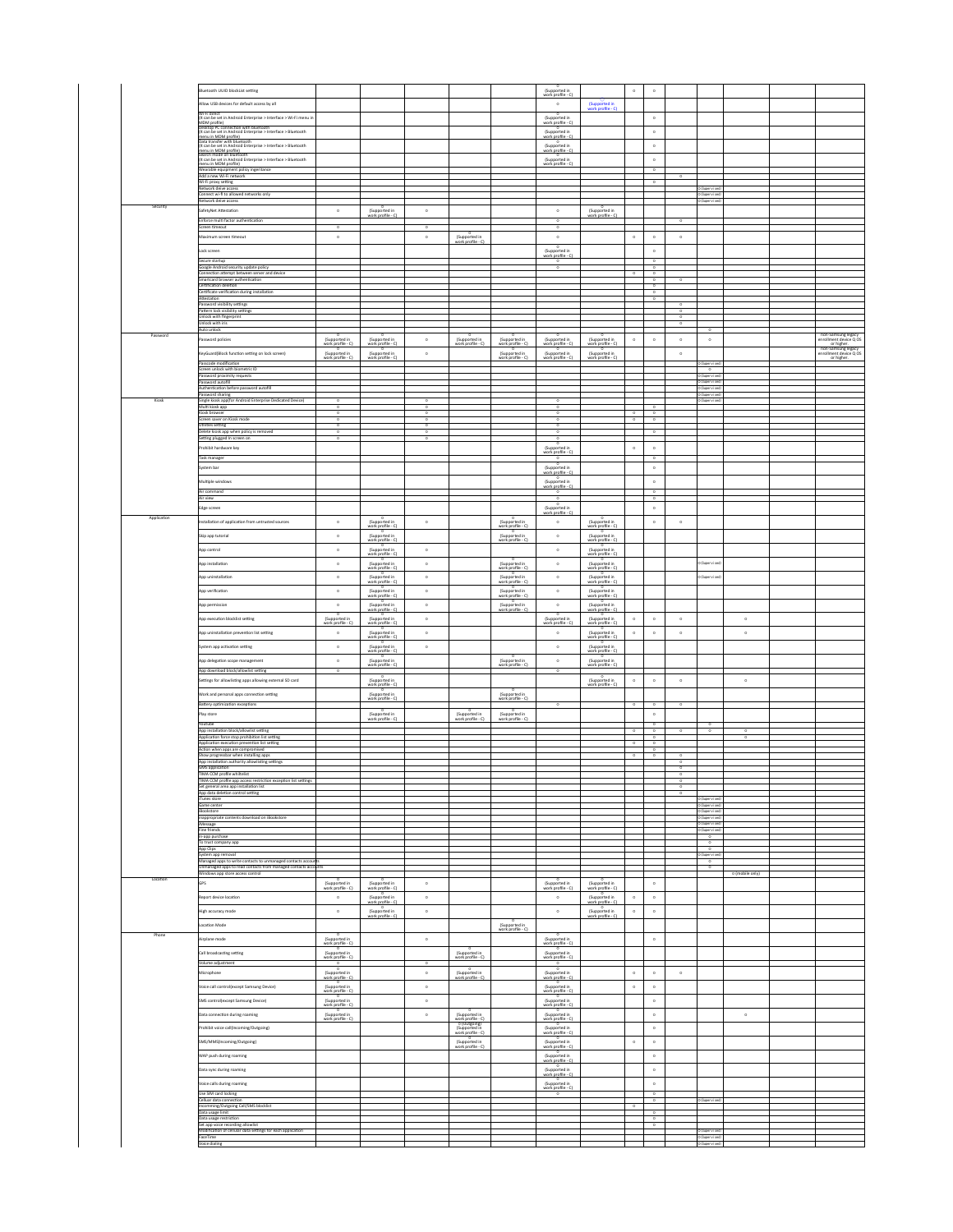|           | <b>Sluetooth UUID blockList setting</b>                                                                                                                                                                                                   |                                                                |                                                         |                                                |                                                                         |                                               | Supported in                                                   |                                                         | $^\circ$                 | $^{\circ}$                          |                                        |                                              |                 |                                                                                                            |
|-----------|-------------------------------------------------------------------------------------------------------------------------------------------------------------------------------------------------------------------------------------------|----------------------------------------------------------------|---------------------------------------------------------|------------------------------------------------|-------------------------------------------------------------------------|-----------------------------------------------|----------------------------------------------------------------|---------------------------------------------------------|--------------------------|-------------------------------------|----------------------------------------|----------------------------------------------|-----------------|------------------------------------------------------------------------------------------------------------|
|           | Now USB devices for default access by all                                                                                                                                                                                                 |                                                                |                                                         |                                                |                                                                         |                                               | work profile - C)<br>$^\circ$                                  | (Supported in<br>work profile - C)                      |                          |                                     |                                        |                                              |                 |                                                                                                            |
|           | The distribution of the Android Enterprise > interface > Wi-Fi menu in<br>MCM großb is the Android Enterprise > interface > Wi-Fi menu in<br>SERCAD - interface<br>SERCAD - interface<br>SERCAD - interface<br>SERCAD - interface<br>SERC |                                                                |                                                         |                                                |                                                                         |                                               |                                                                |                                                         |                          | $^{\circ}$                          |                                        |                                              |                 |                                                                                                            |
|           |                                                                                                                                                                                                                                           |                                                                |                                                         |                                                |                                                                         |                                               | (Supported in<br>work profile - C)                             |                                                         |                          |                                     |                                        |                                              |                 |                                                                                                            |
|           |                                                                                                                                                                                                                                           |                                                                |                                                         |                                                |                                                                         |                                               | (Supported in<br>work profile - C)                             |                                                         |                          | $\circ$                             |                                        |                                              |                 |                                                                                                            |
|           |                                                                                                                                                                                                                                           |                                                                |                                                         |                                                |                                                                         |                                               | (Supported in<br>work profile - C)                             |                                                         |                          | $^{\circ}$                          |                                        |                                              |                 |                                                                                                            |
|           |                                                                                                                                                                                                                                           |                                                                |                                                         |                                                |                                                                         |                                               | (Supported in<br>work profile - C)                             |                                                         |                          | $^\circ$                            |                                        |                                              |                 |                                                                                                            |
|           | Wearable equipment policy ingeritance<br>Add a new Wi-Fi network<br>Add a new Wi-Fi network                                                                                                                                               |                                                                |                                                         |                                                |                                                                         |                                               |                                                                |                                                         |                          | $\circ$                             |                                        |                                              |                 |                                                                                                            |
|           | Wi-Fi proxy setting<br>Network deive access                                                                                                                                                                                               |                                                                |                                                         |                                                |                                                                         |                                               |                                                                |                                                         |                          | $\circ$                             |                                        | O (Supervised                                |                 |                                                                                                            |
|           | Connect wi-fi to allowed networks only<br>Network deive access                                                                                                                                                                            |                                                                |                                                         |                                                |                                                                         |                                               |                                                                |                                                         |                          |                                     |                                        | O (Supervised<br>O (Supervised)              |                 |                                                                                                            |
| Security  | SafetyNet Attestation                                                                                                                                                                                                                     | $\circ$                                                        | (Supported in                                           | $\circ$                                        |                                                                         |                                               | $\circ$                                                        | Supported in                                            |                          |                                     |                                        |                                              |                 |                                                                                                            |
|           | Enforce multi factor authentication<br>Screen timeout                                                                                                                                                                                     | ढ                                                              | work profile - C)                                       | $\overline{\phantom{a}}$                       |                                                                         |                                               | $\overline{\phantom{a}}$                                       | work profile - C)                                       |                          |                                     |                                        |                                              |                 |                                                                                                            |
|           | laximum screen timeout                                                                                                                                                                                                                    | $^\circ$                                                       |                                                         | $^{\circ}$                                     | G<br>(Supported in<br>work profile - C                                  |                                               | $^\circ$                                                       |                                                         | $^\circ$                 | $\circ$                             | $^\circ$                               |                                              |                 |                                                                                                            |
|           | ock screen                                                                                                                                                                                                                                |                                                                |                                                         |                                                |                                                                         |                                               |                                                                |                                                         |                          | $^{\circ}$                          |                                        |                                              |                 |                                                                                                            |
|           | Secure startup                                                                                                                                                                                                                            |                                                                |                                                         |                                                |                                                                         |                                               | O<br>(Supported in<br>work profile - C)<br>$\circ$             |                                                         |                          | $\overline{\phantom{a}}$            |                                        |                                              |                 |                                                                                                            |
|           | Google Android security update policy<br>Connection attempt between server and device                                                                                                                                                     |                                                                |                                                         |                                                |                                                                         |                                               | $\circ$                                                        |                                                         | $\overline{\phantom{a}}$ | $\circ$<br>$\overline{\phantom{a}}$ |                                        |                                              |                 |                                                                                                            |
|           | Smartcard browser authentication<br>Certification deletion                                                                                                                                                                                |                                                                |                                                         |                                                |                                                                         |                                               |                                                                |                                                         |                          | $\overline{\phantom{a}}$<br>$\circ$ |                                        |                                              |                 |                                                                                                            |
|           | Certificate verification during installation<br>Attestation                                                                                                                                                                               |                                                                |                                                         |                                                |                                                                         |                                               |                                                                |                                                         |                          | $\overline{\phantom{a}}$<br>$\circ$ |                                        |                                              |                 |                                                                                                            |
|           | Password visibility settings<br>Pattern lock visibility settings                                                                                                                                                                          |                                                                |                                                         |                                                |                                                                         |                                               |                                                                |                                                         |                          |                                     | $^{\circ}$<br>$\overline{\phantom{a}}$ |                                              |                 |                                                                                                            |
|           | Unlock with fingerprint<br>Unlock with iris                                                                                                                                                                                               |                                                                |                                                         |                                                |                                                                         |                                               |                                                                |                                                         |                          |                                     | $\circ$<br>$^{\circ}$                  |                                              |                 |                                                                                                            |
| Password  | Auto unlock                                                                                                                                                                                                                               |                                                                |                                                         |                                                |                                                                         |                                               |                                                                |                                                         |                          |                                     |                                        | $\circ$                                      |                 |                                                                                                            |
|           | assword policies                                                                                                                                                                                                                          | (Supported in<br>work profile - C)                             | (Supported in<br>work profile - C)                      | $^\circ$                                       | (Supported in<br>work profile - C)                                      | (Supported in<br>work profile - C)            | (Supported in<br>work profile - C)                             | (Supported in<br>work profile - C)                      | $^\circ$                 | $^{\circ}$                          | $^\circ$                               | $^\circ$                                     |                 | non-Samsung legacy<br>enrollment device Q OS<br>or higher.<br>non-Samsung legacy<br>enrollment device Q OS |
|           | KeyGuard(Block function setting on lock screen)                                                                                                                                                                                           | Supported in<br>work profile - C)                              | (Supported in<br>work profile - C)                      | $\circ$                                        |                                                                         | Supported in<br>work profile - C)             | (Supported in<br>work profile - C)                             | (Supported in<br>work profile - C)                      |                          |                                     | $\circ$                                | ) (Supervised                                |                 | or higher.                                                                                                 |
|           | Passcode modification<br>Screen unlock with biometric ID                                                                                                                                                                                  |                                                                |                                                         |                                                |                                                                         |                                               |                                                                |                                                         |                          |                                     |                                        | $\circ$                                      |                 |                                                                                                            |
|           | Password proximity requests<br>Password autofill<br>Authentication before password autofill                                                                                                                                               |                                                                |                                                         |                                                |                                                                         |                                               |                                                                |                                                         |                          |                                     |                                        | O (Supervised)<br>(Supervise                 |                 |                                                                                                            |
| Kiosk     | Password sharing<br>Single klosk app(for Android Enterprise Dedicated Device)                                                                                                                                                             |                                                                |                                                         |                                                |                                                                         |                                               |                                                                |                                                         |                          |                                     |                                        | O(Supervised)<br>O (Supervised)<br>Gupervise |                 |                                                                                                            |
|           | Multi kiosk app                                                                                                                                                                                                                           | $\overline{\phantom{a}}$                                       |                                                         | $\overline{\phantom{0}}$                       |                                                                         |                                               | $\overline{\phantom{a}}$                                       |                                                         |                          | $\overline{\phantom{a}}$            |                                        |                                              |                 |                                                                                                            |
|           | Kiosk browser<br>een saver on Kiosk mode                                                                                                                                                                                                  | $\circ$<br>$\circ$<br>$\overline{\phantom{a}}$                 |                                                         | $\circ$<br>$\circ$<br>$\overline{\phantom{a}}$ |                                                                         |                                               | $\circ$<br>$\circ$<br>$\overline{\phantom{a}}$                 |                                                         | $\circ$<br>$\circ$       | $\circ$<br>$\overline{\ }$          |                                        |                                              |                 |                                                                                                            |
|           | Utilities setting<br>Delete klosk app when policy is removed<br>Setting plugged in screen on                                                                                                                                              | $\circ$                                                        |                                                         | $\circ$                                        |                                                                         |                                               | $\circ$                                                        |                                                         |                          | $\circ$                             |                                        |                                              |                 |                                                                                                            |
|           | ting plugged in screen or<br>Prohibit hardware key                                                                                                                                                                                        |                                                                |                                                         |                                                |                                                                         |                                               | $\circ$                                                        |                                                         | $^{\circ}$               | $\circ$                             |                                        |                                              |                 |                                                                                                            |
|           | Task manager                                                                                                                                                                                                                              |                                                                |                                                         |                                                |                                                                         |                                               | (Supported in<br>work profile - C)                             |                                                         |                          | $\overline{\phantom{a}}$            |                                        |                                              |                 |                                                                                                            |
|           | stem bar                                                                                                                                                                                                                                  |                                                                |                                                         |                                                |                                                                         |                                               | (Supported in<br>work profile - C)                             |                                                         |                          | $^{\circ}$                          |                                        |                                              |                 |                                                                                                            |
|           | Aultiple windows                                                                                                                                                                                                                          |                                                                |                                                         |                                                |                                                                         |                                               | G<br>(Supported in<br>work profile - C)                        |                                                         |                          | $^{\circ}$                          |                                        |                                              |                 |                                                                                                            |
|           | Air command<br>Air view                                                                                                                                                                                                                   |                                                                |                                                         |                                                |                                                                         |                                               | $\circ$                                                        |                                                         |                          | $\circ$                             |                                        |                                              |                 |                                                                                                            |
|           | Edge screen                                                                                                                                                                                                                               |                                                                |                                                         |                                                |                                                                         |                                               | (Supported in                                                  |                                                         |                          | $\circ$<br>$^{\circ}$               |                                        |                                              |                 |                                                                                                            |
| Applicati | Installation of application from untrusted sources                                                                                                                                                                                        | $^{\circ}$                                                     |                                                         | $^\circ$                                       |                                                                         |                                               | work profile - C]<br>$^\circ$                                  |                                                         |                          | $^{\circ}$                          | $^\circ$                               |                                              |                 |                                                                                                            |
|           |                                                                                                                                                                                                                                           |                                                                | (Supported in<br>work profile - C)                      |                                                |                                                                         | o<br>(Supported in<br>work profile - C)       |                                                                | C<br>(Supported in<br>work profile - C)                 |                          |                                     |                                        |                                              |                 |                                                                                                            |
|           | Skip app tutorial                                                                                                                                                                                                                         | $^{\circ}$                                                     | Supported in<br>work profile - C                        |                                                |                                                                         | Supported in<br>work profile - C              | $^\circ$                                                       | G<br>(Supported in<br>work profile - C                  |                          |                                     |                                        |                                              |                 |                                                                                                            |
|           | App control                                                                                                                                                                                                                               | $^{\circ}$                                                     | (Supported in<br>work.profile - C)                      | $^\circ$                                       |                                                                         |                                               | $^\circ$                                                       | (Supported in<br>work profile - C                       |                          |                                     |                                        |                                              |                 |                                                                                                            |
|           | App installation                                                                                                                                                                                                                          | $^{\circ}$                                                     | Supported in<br>work.profile - C                        | $^\circ$                                       |                                                                         | o<br>(Supported in<br><u>work profile - C</u> | $^\circ$                                                       | Supported in<br>work profile - C                        |                          |                                     |                                        | O (Supervised                                |                 |                                                                                                            |
|           | App uninstallation                                                                                                                                                                                                                        | $^{\circ}$                                                     | (Supported in<br>work profile - C)                      | $^\circ$                                       |                                                                         | (Supported in<br>work profile - C)            | $^\circ$                                                       | (Supported in<br>work profile - C)                      |                          |                                     |                                        | O (Supervised)                               |                 |                                                                                                            |
|           | App verification                                                                                                                                                                                                                          | $\circ$                                                        | (Supported in<br>work profile - C)                      | $^\circ$                                       |                                                                         | (Supported in<br>work profile - C)            | $^\circ$                                                       | (Supported in<br>work profile - C)                      |                          |                                     |                                        |                                              |                 |                                                                                                            |
|           | App permission                                                                                                                                                                                                                            | $^{\circ}$                                                     | (Supported in                                           | $^{\circ}$                                     |                                                                         | (Supported in                                 | $^{\circ}$                                                     | (Supported in                                           |                          |                                     |                                        |                                              |                 |                                                                                                            |
|           | App execution blocklist setting                                                                                                                                                                                                           | $\overline{\phantom{0}}$<br>(Supported in<br>work profile - C) | work profile - C)<br>(Supported in<br>work profile - C) | $^{\circ}$                                     |                                                                         | work profile - C)                             | $\overline{\phantom{a}}$<br>(Supported in<br>work profile - C) | work profile - C)<br>(Supported in<br>work profile - C) | $^\circ$                 | $\circ$                             | $^\circ$                               |                                              | $^\circ$        |                                                                                                            |
|           | App uninstallation prevention list setting                                                                                                                                                                                                | $\circ$                                                        | (Supported in                                           | $\circ$                                        |                                                                         |                                               | $\circ$                                                        | (Supported in                                           | $^\circ$                 | $^{\circ}$                          | $\circ$                                |                                              | $\circ$         |                                                                                                            |
|           | System app activation setting                                                                                                                                                                                                             | $\circ$                                                        | work profile - C)<br>(Supported in                      | $^\circ$                                       |                                                                         |                                               | $\circ$                                                        | work profile - C)<br>(Supported in                      |                          |                                     |                                        |                                              |                 |                                                                                                            |
|           |                                                                                                                                                                                                                                           |                                                                | work profile - C)                                       |                                                |                                                                         | $\circ$                                       |                                                                | work profile - C)                                       |                          |                                     |                                        |                                              |                 |                                                                                                            |
|           | App delegation scope management<br>App download block/allowlist setting                                                                                                                                                                   | $^{\circ}$<br>$\overline{\phantom{a}}$                         | (Supported in<br>work profile - C)                      |                                                |                                                                         | (Supported in<br>work profile - C)            | $\circ$<br>$\overline{\phantom{a}}$                            | (Supported in<br>work profile - C)                      |                          |                                     |                                        |                                              |                 |                                                                                                            |
|           | ettings for allowlisting apps allowing external SD card                                                                                                                                                                                   |                                                                | G<br>(Supported in<br>work.profile - C)                 |                                                |                                                                         |                                               |                                                                | (Supported in<br>work profile - C)                      | $^\circ$                 | $^{\circ}$                          | $^\circ$                               |                                              | $^\circ$        |                                                                                                            |
|           | Work and personal apps connection setting                                                                                                                                                                                                 |                                                                | Supported in<br>work profile - C)                       |                                                |                                                                         | Supported in<br>work profile - C              |                                                                |                                                         |                          |                                     |                                        |                                              |                 |                                                                                                            |
|           | Battery optimization exceptions                                                                                                                                                                                                           |                                                                |                                                         |                                                |                                                                         |                                               | $\circ$                                                        |                                                         | $\overline{\ }$          | $\overline{\phantom{a}}$            |                                        |                                              |                 |                                                                                                            |
|           | Play store                                                                                                                                                                                                                                |                                                                | Comported in<br>work profile - C)                       |                                                | Supported in<br>work profile - C)                                       | Supported in<br>work profile - Cl             |                                                                |                                                         |                          | $^{\circ}$                          |                                        |                                              |                 |                                                                                                            |
|           | Youtube<br>App installation block/allowlist setting                                                                                                                                                                                       |                                                                |                                                         |                                                |                                                                         |                                               |                                                                |                                                         | $\circ$                  | $\circ$<br>$\overline{\phantom{a}}$ |                                        | $\circ$<br>$\circ$                           | $\circ$         |                                                                                                            |
|           | Application force stop prohibition list setting<br>Application execution prevention list setting                                                                                                                                          |                                                                |                                                         |                                                |                                                                         |                                               |                                                                |                                                         | $\circ$                  | $\bullet$<br>$\overline{\ }$        |                                        |                                              | $\circ$         |                                                                                                            |
|           | Action when apps are compromised<br>Show progressbar when installing apps                                                                                                                                                                 |                                                                |                                                         |                                                |                                                                         |                                               |                                                                |                                                         | $\circ$                  | $\overline{\phantom{a}}$<br>$\circ$ | $\circ$                                |                                              |                 |                                                                                                            |
|           | App installation authority allowlisting settings<br><b>GMS</b> application                                                                                                                                                                |                                                                |                                                         |                                                |                                                                         |                                               |                                                                |                                                         |                          |                                     | $\circ$<br>$\circ$                     |                                              |                 |                                                                                                            |
|           | TIMA CCM profile whiltelist<br>ie app ac                                                                                                                                                                                                  |                                                                |                                                         |                                                |                                                                         |                                               |                                                                |                                                         |                          |                                     | $\circ$                                |                                              |                 |                                                                                                            |
|           | Set general area app installation list<br>App data deletion control setting                                                                                                                                                               |                                                                |                                                         |                                                |                                                                         |                                               |                                                                |                                                         |                          |                                     | $\circ$<br>$\circ$                     |                                              |                 |                                                                                                            |
|           | Tunes store<br>Game center                                                                                                                                                                                                                |                                                                |                                                         |                                                |                                                                         |                                               |                                                                |                                                         |                          |                                     |                                        | O(Supervised)<br>O (Supervised)              |                 |                                                                                                            |
|           | Bookstore<br>inappropriate contents download on iBookstore                                                                                                                                                                                |                                                                |                                                         |                                                |                                                                         |                                               |                                                                |                                                         |                          |                                     |                                        | O (Supervised<br>O (Supervised)              |                 |                                                                                                            |
|           | iMessage<br>Fine friends                                                                                                                                                                                                                  |                                                                |                                                         |                                                |                                                                         |                                               |                                                                |                                                         |                          |                                     |                                        | O (Supervised)<br>O (Supervised)             |                 |                                                                                                            |
|           | In-app purchase                                                                                                                                                                                                                           |                                                                |                                                         |                                                |                                                                         |                                               |                                                                |                                                         |                          |                                     |                                        | ≂<br>$\overline{\phantom{a}}$                |                 |                                                                                                            |
|           | To trust company app                                                                                                                                                                                                                      |                                                                |                                                         |                                                |                                                                         |                                               |                                                                |                                                         |                          |                                     |                                        |                                              |                 |                                                                                                            |
|           | App Clips<br>System app removal                                                                                                                                                                                                           |                                                                |                                                         |                                                |                                                                         |                                               |                                                                |                                                         |                          |                                     |                                        | $\circ$<br>Supervised)                       |                 |                                                                                                            |
|           | Managed apps to write contacts to unmanaged contacts accounts<br>Unmanaged apps to read contacts from managed contacts accounts                                                                                                           |                                                                |                                                         |                                                |                                                                         |                                               |                                                                |                                                         |                          |                                     |                                        | $\circ$<br>$\circ$                           |                 |                                                                                                            |
| Location  | Windows app store access control                                                                                                                                                                                                          |                                                                |                                                         |                                                |                                                                         |                                               |                                                                |                                                         |                          |                                     |                                        |                                              | o (mobile only) |                                                                                                            |
|           | GPS                                                                                                                                                                                                                                       | (Supported in<br>work profile - C)                             | (Supported in<br>work profile - C)                      | $^\circ$                                       |                                                                         |                                               | (Supported in<br>work profile - C)                             | (Supported in<br>work profile - C)                      |                          | $^\circ$                            |                                        |                                              |                 |                                                                                                            |
|           | Report device location                                                                                                                                                                                                                    | $\circ$                                                        | Supported in<br>work profile - C)                       | $^\circ$                                       |                                                                         |                                               | $\circ$                                                        | G<br>(Supported in<br>work profile - C)                 | $^\circ$                 | $^{\circ}$                          |                                        |                                              |                 |                                                                                                            |
|           | High accuracy mode                                                                                                                                                                                                                        | $^\circ$                                                       | (Supported in<br>work profile - C)                      | $^\circ$                                       |                                                                         |                                               | $^\circ$                                                       | (Supported in<br>work profile - C)                      | $^\circ$                 | $^{\circ}$                          |                                        |                                              |                 |                                                                                                            |
|           | ocation Mode                                                                                                                                                                                                                              |                                                                |                                                         |                                                |                                                                         | Supported in<br>work profile - C)             |                                                                |                                                         |                          |                                     |                                        |                                              |                 |                                                                                                            |
| Phone     | Airplane mode                                                                                                                                                                                                                             | (Supported in<br>work profile - C)                             |                                                         | $^\circ$                                       |                                                                         |                                               | (Supported in<br>work profile - C)                             |                                                         |                          | $^{\circ}$                          |                                        |                                              |                 |                                                                                                            |
|           | Call broadcasting setting                                                                                                                                                                                                                 | Supported in                                                   |                                                         |                                                | (Supported in                                                           |                                               | (Supported in                                                  |                                                         |                          |                                     |                                        |                                              |                 |                                                                                                            |
|           | Volume adjustment                                                                                                                                                                                                                         | work profile - C)<br>$\overline{\phantom{a}}$                  |                                                         | $\circ$                                        | work profile - C)<br>$\overline{\phantom{a}}$                           |                                               | work profile - C)<br>$\overline{\phantom{a}}$                  |                                                         |                          |                                     |                                        |                                              |                 |                                                                                                            |
|           | Microphone                                                                                                                                                                                                                                | (Supported in<br>work profile - C)                             |                                                         | $\circ$                                        | (Supported in<br>work profile - C)                                      |                                               | (Supported in<br>work profile - C)                             |                                                         | $^\circ$                 | $\circ$                             | $\circ$                                |                                              |                 |                                                                                                            |
|           | oice call control(except Samsung Device)                                                                                                                                                                                                  | (Supported in<br>work profile - C)                             |                                                         | $\circ$                                        |                                                                         |                                               | (Supported in<br>work profile - C)                             |                                                         | $^\circ$                 | $^\circ$                            |                                        |                                              |                 |                                                                                                            |
|           | SMS control(except Samsung Device)                                                                                                                                                                                                        | (Supported in<br>work profile - C)                             |                                                         | $^\circ$                                       |                                                                         |                                               | (Supported in<br>work profile - C)                             |                                                         |                          | $^\circ$                            |                                        |                                              |                 |                                                                                                            |
|           | Data connection during roaming                                                                                                                                                                                                            |                                                                |                                                         | $^\circ$                                       | $o$<br>(Supported in                                                    |                                               | (Supported in                                                  |                                                         |                          | $^\circ$                            |                                        |                                              | $^\circ$        |                                                                                                            |
|           | Prohibit voice call(Incoming/Outgoing)                                                                                                                                                                                                    | O<br>(Supported in<br>work profile - C)                        |                                                         |                                                |                                                                         |                                               | work profile - C)                                              |                                                         |                          | $\circ$                             |                                        |                                              |                 |                                                                                                            |
|           | SMS/MMS(Incoming/Outgoing)                                                                                                                                                                                                                |                                                                |                                                         |                                                | work profile - C)<br>o (Outgoing)<br>(Supported in<br>work profile - C) |                                               | (Supported in<br>work profile - C)<br>Supported in             |                                                         | $^\circ$                 | $^{\circ}$                          |                                        |                                              |                 |                                                                                                            |
|           |                                                                                                                                                                                                                                           |                                                                |                                                         |                                                | C<br>(Supported in<br>work profile - C)                                 |                                               | work profile - C)                                              |                                                         |                          |                                     |                                        |                                              |                 |                                                                                                            |
|           | WAP push during roaming                                                                                                                                                                                                                   |                                                                |                                                         |                                                |                                                                         |                                               | (Supported in<br>work profile - C)                             |                                                         |                          | $^\circ$                            |                                        |                                              |                 |                                                                                                            |
|           | Data sync during roaming                                                                                                                                                                                                                  |                                                                |                                                         |                                                |                                                                         |                                               | (Supported in<br>work profile - C)                             |                                                         |                          | $^\circ$                            |                                        |                                              |                 |                                                                                                            |
|           | oice calls during roaming                                                                                                                                                                                                                 |                                                                |                                                         |                                                |                                                                         |                                               | (Supported in<br>work profile - C)<br>$\circ$                  |                                                         |                          | $^\circ$                            |                                        |                                              |                 |                                                                                                            |
|           | Use SIM card locking<br>Celluar data connection                                                                                                                                                                                           |                                                                |                                                         |                                                |                                                                         |                                               |                                                                |                                                         | $\circ$                  | $\circ$<br>$\overline{\ }$          |                                        | O (Supervised)                               |                 |                                                                                                            |
|           | Incomming/Outgoing Call/SMS blocklist<br>Data usage limit                                                                                                                                                                                 |                                                                |                                                         |                                                |                                                                         |                                               |                                                                |                                                         |                          | $\circ$                             |                                        |                                              |                 |                                                                                                            |
|           | Data usage restriction<br>Set app voice recording allowlist<br>Modification of cellular data settings for each application<br>FaceTime                                                                                                    |                                                                |                                                         |                                                |                                                                         |                                               |                                                                |                                                         |                          | $\circ$<br>$\circ$                  |                                        | O (Supervised)<br>O (Supervised)             |                 |                                                                                                            |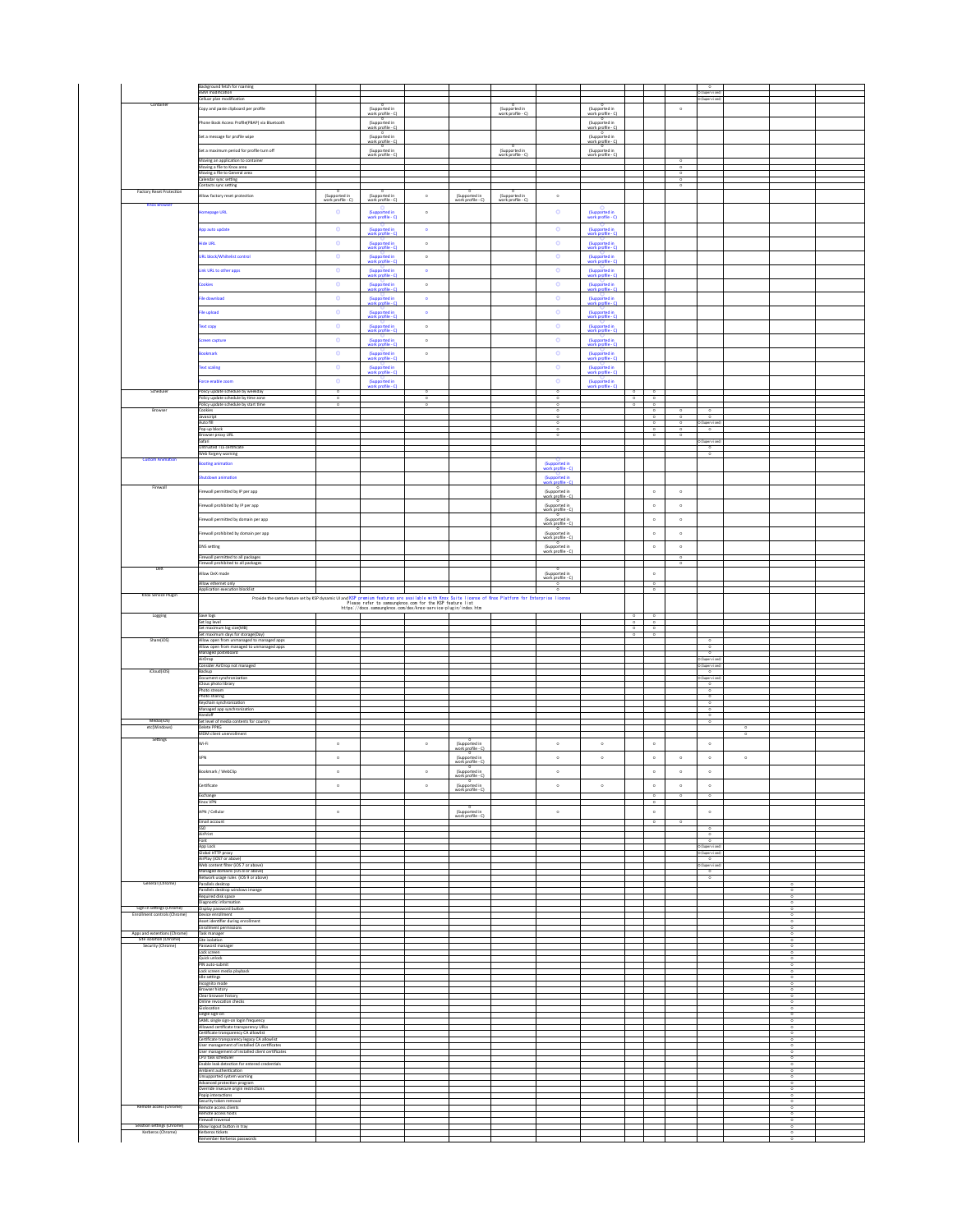|                                                 | Background fetch for roaming<br>eSIM modification                                                                                                                                                                                    |                                      |                                                  |                          |                                         |                                         |                                         |                                                                                             |                                     |                                     |                                     | $\circ$                                        |          |                                     |  |
|-------------------------------------------------|--------------------------------------------------------------------------------------------------------------------------------------------------------------------------------------------------------------------------------------|--------------------------------------|--------------------------------------------------|--------------------------|-----------------------------------------|-----------------------------------------|-----------------------------------------|---------------------------------------------------------------------------------------------|-------------------------------------|-------------------------------------|-------------------------------------|------------------------------------------------|----------|-------------------------------------|--|
|                                                 | elluar plan modification                                                                                                                                                                                                             |                                      |                                                  |                          |                                         |                                         |                                         |                                                                                             |                                     |                                     |                                     | O (Supervised)<br>0 (Supervised)               |          |                                     |  |
| Container                                       | Copy and paste clipboard per profile                                                                                                                                                                                                 |                                      | (Supported in                                    |                          |                                         |                                         |                                         | C<br>(Supported in                                                                          |                                     |                                     | $\circ$                             |                                                |          |                                     |  |
|                                                 |                                                                                                                                                                                                                                      |                                      | work profile - C                                 |                          |                                         | (Supported in<br>work profile - C)      |                                         | work profile - C                                                                            |                                     |                                     |                                     |                                                |          |                                     |  |
|                                                 | hone Book Access Profile(PBAP) via Bluetooth                                                                                                                                                                                         |                                      | (Supported in<br>work profile - C)               |                          |                                         |                                         |                                         | o<br>(Supported in<br>work profile - C)                                                     |                                     |                                     |                                     |                                                |          |                                     |  |
|                                                 | Set a message for profile wipe                                                                                                                                                                                                       |                                      | G<br>(Supported in<br>work profile - C)          |                          |                                         |                                         |                                         | G<br>(Supported in<br>work profile - C)                                                     |                                     |                                     |                                     |                                                |          |                                     |  |
|                                                 |                                                                                                                                                                                                                                      |                                      |                                                  |                          |                                         |                                         |                                         |                                                                                             |                                     |                                     |                                     |                                                |          |                                     |  |
|                                                 | Set a maximum period for profile turn off                                                                                                                                                                                            |                                      | (Supported in<br>work profile - C)               |                          |                                         | (Supported in<br>work profile - C)      |                                         | (Supported in<br>work profile - C)                                                          |                                     |                                     |                                     |                                                |          |                                     |  |
|                                                 | Moving an application to container<br>Moving a file to Knox area                                                                                                                                                                     |                                      |                                                  |                          |                                         |                                         |                                         |                                                                                             |                                     |                                     | $\circ$<br>$\circ$                  |                                                |          |                                     |  |
|                                                 | Moving a file to General area                                                                                                                                                                                                        |                                      |                                                  |                          |                                         |                                         |                                         |                                                                                             |                                     |                                     | $\circ$                             |                                                |          |                                     |  |
|                                                 | Calendar sync setting<br>Contacts sync setting                                                                                                                                                                                       |                                      |                                                  |                          |                                         |                                         |                                         |                                                                                             |                                     |                                     | $\circ$<br>$\overline{\phantom{0}}$ |                                                |          |                                     |  |
| Factory Reset Protection                        |                                                                                                                                                                                                                                      | Supported in                         |                                                  |                          |                                         |                                         |                                         |                                                                                             |                                     |                                     |                                     |                                                |          |                                     |  |
|                                                 | Allow factory reset protection                                                                                                                                                                                                       | work profile - C)                    | (Supported in<br>work profile - C)               | $^{\circ}$               | O<br>(Supported in<br>work profile - C) | o<br>(Supported in<br>work profile - C) | $^\circ$                                |                                                                                             |                                     |                                     |                                     |                                                |          |                                     |  |
| <b>Knox Browser</b>                             | mepage URL                                                                                                                                                                                                                           | $\bullet$                            | $\bigcirc$<br>(Supported in<br>work profile - C) | $\circ$                  |                                         |                                         | $\bullet$                               | $\begin{array}{c} \bigcirc \\ \text{(Supported in} \\ \text{work profile - C)} \end{array}$ |                                     |                                     |                                     |                                                |          |                                     |  |
|                                                 |                                                                                                                                                                                                                                      |                                      |                                                  |                          |                                         |                                         |                                         |                                                                                             |                                     |                                     |                                     |                                                |          |                                     |  |
|                                                 | pp auto update                                                                                                                                                                                                                       | $\bullet$                            | (Supported in                                    | $\bullet$                |                                         |                                         | $\bullet$                               | (Supported in<br>work.profile - C)                                                          |                                     |                                     |                                     |                                                |          |                                     |  |
|                                                 | ide URL                                                                                                                                                                                                                              | $\bullet$                            | ork profile - C)                                 |                          |                                         |                                         | $\bullet$                               |                                                                                             |                                     |                                     |                                     |                                                |          |                                     |  |
|                                                 |                                                                                                                                                                                                                                      |                                      | (Supported in<br>work profile - C)               | $^{\circ}$               |                                         |                                         |                                         | (Supported in<br>work profile - C)                                                          |                                     |                                     |                                     |                                                |          |                                     |  |
|                                                 | JRL block/Whiltelist control                                                                                                                                                                                                         | $\bullet$                            | (Supported in<br>work profile - C)               | $^{\circ}$               |                                         |                                         | $\bullet$                               | (Supported in<br>work profile - C)                                                          |                                     |                                     |                                     |                                                |          |                                     |  |
|                                                 | Jink URL to other apps                                                                                                                                                                                                               | $\bullet$                            |                                                  | $\bullet$                |                                         |                                         | $\bullet$                               |                                                                                             |                                     |                                     |                                     |                                                |          |                                     |  |
|                                                 |                                                                                                                                                                                                                                      |                                      | (Supported in<br>work profile - C)               |                          |                                         |                                         |                                         | (Supported in<br>work profile - C)                                                          |                                     |                                     |                                     |                                                |          |                                     |  |
|                                                 | okies                                                                                                                                                                                                                                | $\bullet$                            | (Supported in<br>work profile - C)               | $^{\circ}$               |                                         |                                         | $\bullet$                               | (Supported in                                                                               |                                     |                                     |                                     |                                                |          |                                     |  |
|                                                 | ile download                                                                                                                                                                                                                         | $\bullet$                            |                                                  | $\bullet$                |                                         |                                         | $\bullet$                               | vork profile - C                                                                            |                                     |                                     |                                     |                                                |          |                                     |  |
|                                                 |                                                                                                                                                                                                                                      |                                      | (Supported in<br>work profile - C)               |                          |                                         |                                         |                                         | (Supported in<br>work profile - C)                                                          |                                     |                                     |                                     |                                                |          |                                     |  |
|                                                 | le upload                                                                                                                                                                                                                            | $\circ$                              | (Supported in<br>work profile - C                | $\bullet$                |                                         |                                         | $\bullet$                               | (Supported in<br>work profile - C                                                           |                                     |                                     |                                     |                                                |          |                                     |  |
|                                                 | ext copy                                                                                                                                                                                                                             | $\circ$                              |                                                  | $\circ$                  |                                         |                                         | $\bullet$                               |                                                                                             |                                     |                                     |                                     |                                                |          |                                     |  |
|                                                 |                                                                                                                                                                                                                                      |                                      | (Supported in<br>work profile - C)               |                          |                                         |                                         |                                         | (Supported in<br>work profile - C)                                                          |                                     |                                     |                                     |                                                |          |                                     |  |
|                                                 | reen capture                                                                                                                                                                                                                         | $\circ$                              | (Supported in<br>work.profile - C)               | $^\circ$                 |                                         |                                         | $\bullet$                               | (Supported in<br>work profile - C)                                                          |                                     |                                     |                                     |                                                |          |                                     |  |
|                                                 | okmark                                                                                                                                                                                                                               | $\circ$                              |                                                  | $^{\circ}$               |                                         |                                         | $\bullet$                               |                                                                                             |                                     |                                     |                                     |                                                |          |                                     |  |
|                                                 |                                                                                                                                                                                                                                      |                                      | (Supported in<br>work profile - C)               |                          |                                         |                                         |                                         | (Supported in<br>work profile - C)                                                          |                                     |                                     |                                     |                                                |          |                                     |  |
|                                                 | Fext scaling                                                                                                                                                                                                                         | $\circ$                              | (Supported in<br>work profile - C                |                          |                                         |                                         | $\circ$                                 | (Supported in<br>work profile - C                                                           |                                     |                                     |                                     |                                                |          |                                     |  |
|                                                 | prce enable zoom                                                                                                                                                                                                                     | $\circ$                              |                                                  |                          |                                         |                                         | $\circ$                                 |                                                                                             |                                     |                                     |                                     |                                                |          |                                     |  |
| Schedule                                        |                                                                                                                                                                                                                                      |                                      | (Supported in<br>work profile - C)               |                          |                                         |                                         |                                         | (Supported in<br>work profile - C)                                                          |                                     |                                     |                                     |                                                |          |                                     |  |
|                                                 | Policy update schedule by weekday<br>Policy update schedule by time zone                                                                                                                                                             | $\overline{\phantom{a}}$<br>$^\circ$ |                                                  | $\circ$<br>$^\circ$      |                                         |                                         | $\circ$<br>$^\circ$                     |                                                                                             | $\overline{\phantom{a}}$<br>$\circ$ | $\overline{\phantom{a}}$<br>$\circ$ |                                     |                                                |          |                                     |  |
|                                                 | Policy update schedule by start time                                                                                                                                                                                                 | $\circ$                              |                                                  | $\overline{\phantom{a}}$ |                                         |                                         | $\overline{\phantom{a}}$                |                                                                                             | $\circ$                             | $\frac{1}{\sigma}$                  |                                     |                                                |          |                                     |  |
| Browser                                         | Cookies<br>Javascript                                                                                                                                                                                                                |                                      |                                                  |                          |                                         |                                         | $\circ$<br>$^{\circ}$                   |                                                                                             |                                     | $\circ$                             | $^{\circ}$                          | $\circ$<br>$\circ$                             |          |                                     |  |
|                                                 |                                                                                                                                                                                                                                      |                                      |                                                  |                          |                                         |                                         | $\overline{\phantom{a}}$                |                                                                                             |                                     |                                     | $\overline{\phantom{a}}$            | O (Supervised)                                 |          |                                     |  |
|                                                 | Auto fill<br>Pop-up block                                                                                                                                                                                                            |                                      |                                                  |                          |                                         |                                         | $\circ$                                 |                                                                                             |                                     | $\frac{1}{\sigma}$                  | $\circ$                             | $\overline{\phantom{a}}$                       |          |                                     |  |
|                                                 | Browser proxy URL<br>Safari                                                                                                                                                                                                          |                                      |                                                  |                          |                                         |                                         | $^{\circ}$                              |                                                                                             |                                     | $\circ$                             | $\circ$                             | Gupervised                                     |          |                                     |  |
|                                                 | Untrusted TLS certificate                                                                                                                                                                                                            |                                      |                                                  |                          |                                         |                                         |                                         |                                                                                             |                                     |                                     |                                     | $\circ$                                        |          |                                     |  |
|                                                 | Web forgery warning                                                                                                                                                                                                                  |                                      |                                                  |                          |                                         |                                         |                                         |                                                                                             |                                     |                                     |                                     | $\circ$                                        |          |                                     |  |
| <b>Custom Animation</b>                         | ting animation                                                                                                                                                                                                                       |                                      |                                                  |                          |                                         |                                         | (Supported in<br>work profile - C)      |                                                                                             |                                     |                                     |                                     |                                                |          |                                     |  |
|                                                 |                                                                                                                                                                                                                                      |                                      |                                                  |                          |                                         |                                         |                                         |                                                                                             |                                     |                                     |                                     |                                                |          |                                     |  |
|                                                 | tdown animation                                                                                                                                                                                                                      |                                      |                                                  |                          |                                         |                                         | (Supported in<br>work profile - C)      |                                                                                             |                                     |                                     |                                     |                                                |          |                                     |  |
| Firewal                                         | Firewall permitted by IP per app                                                                                                                                                                                                     |                                      |                                                  |                          |                                         |                                         |                                         |                                                                                             |                                     | $^{\circ}$                          | $^\circ$                            |                                                |          |                                     |  |
|                                                 |                                                                                                                                                                                                                                      |                                      |                                                  |                          |                                         |                                         | O<br>(Supported in<br>work profile - C) |                                                                                             |                                     |                                     |                                     |                                                |          |                                     |  |
|                                                 | irewall prohibited by IP per app                                                                                                                                                                                                     |                                      |                                                  |                          |                                         |                                         | G<br>(Supported in<br>work profile - C) |                                                                                             |                                     | $^{\circ}$                          | $^\circ$                            |                                                |          |                                     |  |
|                                                 |                                                                                                                                                                                                                                      |                                      |                                                  |                          |                                         |                                         |                                         |                                                                                             |                                     |                                     |                                     |                                                |          |                                     |  |
|                                                 | rewall permitted by domain per app                                                                                                                                                                                                   |                                      |                                                  |                          |                                         |                                         | (Supported in<br>work profile - C)      |                                                                                             |                                     | $^\circ$                            | $\circ$                             |                                                |          |                                     |  |
|                                                 | irewall prohibited by domain per app                                                                                                                                                                                                 |                                      |                                                  |                          |                                         |                                         |                                         |                                                                                             |                                     | $^{\circ}$                          | $^\circ$                            |                                                |          |                                     |  |
|                                                 |                                                                                                                                                                                                                                      |                                      |                                                  |                          |                                         |                                         | (Supported in<br>work profile - C)      |                                                                                             |                                     |                                     |                                     |                                                |          |                                     |  |
|                                                 | DNS setting                                                                                                                                                                                                                          |                                      |                                                  |                          |                                         |                                         | (Supported in<br>work profile - C)      |                                                                                             |                                     | $^{\circ}$                          | $^\circ$                            |                                                |          |                                     |  |
|                                                 | Firewall permitted to all packages                                                                                                                                                                                                   |                                      |                                                  |                          |                                         |                                         |                                         |                                                                                             |                                     |                                     | $\circ$                             |                                                |          |                                     |  |
| De)                                             | Firewall prohibited to all packages                                                                                                                                                                                                  |                                      |                                                  |                          |                                         |                                         |                                         |                                                                                             |                                     |                                     | $\overline{\phantom{a}}$            |                                                |          |                                     |  |
|                                                 | <b>Allow DeX mode</b>                                                                                                                                                                                                                |                                      |                                                  |                          |                                         |                                         | o<br>(Supported in<br>work profile - C) |                                                                                             |                                     | $^{\circ}$                          |                                     |                                                |          |                                     |  |
|                                                 | Allow ethernet only                                                                                                                                                                                                                  |                                      |                                                  |                          |                                         |                                         | $\circ$                                 |                                                                                             |                                     | $\frac{1}{\sigma}$                  |                                     |                                                |          |                                     |  |
| Knox Service Plugin                             | Application execution blocklist                                                                                                                                                                                                      |                                      |                                                  |                          |                                         |                                         |                                         |                                                                                             |                                     |                                     |                                     |                                                |          |                                     |  |
|                                                 | Provide the same feature set by KSP dynamic UI and KSP premium features are available with Knox Suite license of Knox Platform for Enterprise license<br>Please refer to amounghous.com for the KSP feature list<br>https://docs.eam |                                      |                                                  |                          |                                         |                                         |                                         |                                                                                             |                                     |                                     |                                     |                                                |          |                                     |  |
|                                                 |                                                                                                                                                                                                                                      |                                      |                                                  |                          |                                         |                                         |                                         |                                                                                             |                                     |                                     |                                     |                                                |          |                                     |  |
|                                                 |                                                                                                                                                                                                                                      |                                      |                                                  |                          |                                         |                                         |                                         |                                                                                             |                                     |                                     |                                     |                                                |          |                                     |  |
| Logging                                         |                                                                                                                                                                                                                                      |                                      |                                                  |                          |                                         |                                         |                                         |                                                                                             | $\circ$                             | $\circ$                             |                                     |                                                |          |                                     |  |
|                                                 | Save logs<br>Set log level                                                                                                                                                                                                           |                                      |                                                  |                          |                                         |                                         |                                         |                                                                                             | $\circ$                             | $\circ$                             |                                     |                                                |          |                                     |  |
|                                                 | Set maximum log size(MB)<br>Set maximum days for storage(Day)                                                                                                                                                                        |                                      |                                                  |                          |                                         |                                         |                                         |                                                                                             | $\circ$<br>$\circ$                  | $\frac{1}{\sqrt{2}}$                |                                     |                                                |          |                                     |  |
| Share(iOS)                                      |                                                                                                                                                                                                                                      |                                      |                                                  |                          |                                         |                                         |                                         |                                                                                             |                                     |                                     |                                     |                                                |          |                                     |  |
|                                                 | Allow open from unmanaged to managed apps<br>Allow open from managed to unmanaged apps<br>Managed posteboard                                                                                                                         |                                      |                                                  |                          |                                         |                                         |                                         |                                                                                             |                                     |                                     |                                     | $\frac{1}{\sigma}$<br>$\overline{\phantom{a}}$ |          |                                     |  |
|                                                 | AirDrop                                                                                                                                                                                                                              |                                      |                                                  |                          |                                         |                                         |                                         |                                                                                             |                                     |                                     |                                     | Supervised                                     |          |                                     |  |
|                                                 | Consider AirDrop not managed                                                                                                                                                                                                         |                                      |                                                  |                          |                                         |                                         |                                         |                                                                                             |                                     |                                     |                                     | O (Supervised                                  |          |                                     |  |
| iCloud(iOS)                                     | Backup<br>Document synchronization                                                                                                                                                                                                   |                                      |                                                  |                          |                                         |                                         |                                         |                                                                                             |                                     |                                     |                                     | $\circ$<br>(Supervised                         |          |                                     |  |
|                                                 | Clous photo library                                                                                                                                                                                                                  |                                      |                                                  |                          |                                         |                                         |                                         |                                                                                             |                                     |                                     |                                     | $\circ$                                        |          |                                     |  |
|                                                 | Photo stream                                                                                                                                                                                                                         |                                      |                                                  |                          |                                         |                                         |                                         |                                                                                             |                                     |                                     |                                     | $\circ$                                        |          |                                     |  |
|                                                 | Photo sharing                                                                                                                                                                                                                        |                                      |                                                  |                          |                                         |                                         |                                         |                                                                                             |                                     |                                     |                                     | $\frac{1}{\circ}$                              |          |                                     |  |
|                                                 | Keychain synchronization<br>Managed app synchronization                                                                                                                                                                              |                                      |                                                  |                          |                                         |                                         |                                         |                                                                                             |                                     |                                     |                                     | $\circ$                                        |          |                                     |  |
| Media(IOS)                                      | Handoff<br>Set level of media contents for country                                                                                                                                                                                   |                                      |                                                  |                          |                                         |                                         |                                         |                                                                                             |                                     |                                     |                                     | $\frac{1}{\circ}$                              |          |                                     |  |
| etc(Winds                                       | Delete PPKG                                                                                                                                                                                                                          |                                      |                                                  |                          |                                         |                                         |                                         |                                                                                             |                                     |                                     |                                     |                                                | $\circ$  |                                     |  |
| Settings                                        | MDM dient unenrollment                                                                                                                                                                                                               |                                      |                                                  |                          |                                         |                                         |                                         |                                                                                             |                                     |                                     |                                     |                                                | $\circ$  |                                     |  |
|                                                 | Wi-Fi                                                                                                                                                                                                                                | $\circ$                              |                                                  | $^{\circ}$               | (Supported in<br>work profile - C)      |                                         | $\circ$                                 | $\circ$                                                                                     |                                     | $^{\circ}$                          |                                     | $^{\circ}$                                     |          |                                     |  |
|                                                 | PN                                                                                                                                                                                                                                   | $\circ$                              |                                                  |                          |                                         |                                         | $\circ$                                 | $^\circ$                                                                                    |                                     | $^\circ$                            | $\circ$                             | $^{\circ}$                                     | $^\circ$ |                                     |  |
|                                                 |                                                                                                                                                                                                                                      |                                      |                                                  |                          | (Supported in<br>work profile - C)      |                                         |                                         |                                                                                             |                                     |                                     |                                     |                                                |          |                                     |  |
|                                                 | ookmark / WebClip                                                                                                                                                                                                                    | $\circ$                              |                                                  | $^{\circ}$               |                                         |                                         | $^\circ$                                |                                                                                             |                                     | $^{\circ}$                          | $^{\circ}$                          | $^{\circ}$                                     |          |                                     |  |
|                                                 | Certificate                                                                                                                                                                                                                          | $^{\circ}$                           |                                                  |                          | C<br>(Supported in<br>work profile - C) |                                         |                                         | $^\circ$                                                                                    |                                     |                                     |                                     |                                                |          |                                     |  |
|                                                 |                                                                                                                                                                                                                                      |                                      |                                                  | $^\circ$                 | (Supported in<br>work profile - C)      |                                         | $\circ$                                 |                                                                                             |                                     | $^\circ$                            | $^\circ$<br>$\circ$                 | $^\circ$                                       |          |                                     |  |
|                                                 | Exchange<br>Knox VPN                                                                                                                                                                                                                 |                                      |                                                  |                          |                                         |                                         |                                         |                                                                                             |                                     | $\overline{\phantom{a}}$<br>$\circ$ |                                     | $\overline{\phantom{a}}$                       |          |                                     |  |
|                                                 | <b>IPN</b> / Cellular                                                                                                                                                                                                                | $^\circ$                             |                                                  |                          | (Supported in                           |                                         | $^\circ$                                |                                                                                             |                                     | $^\circ$                            |                                     | $\circ$                                        |          |                                     |  |
|                                                 |                                                                                                                                                                                                                                      |                                      |                                                  |                          | work profile - C)                       |                                         |                                         |                                                                                             |                                     |                                     | $\circ$                             |                                                |          |                                     |  |
|                                                 | Email account<br>sso                                                                                                                                                                                                                 |                                      |                                                  |                          |                                         |                                         |                                         |                                                                                             |                                     | $\overline{\ }$                     |                                     | $\circ$                                        |          |                                     |  |
|                                                 | AirPrint                                                                                                                                                                                                                             |                                      |                                                  |                          |                                         |                                         |                                         |                                                                                             |                                     |                                     |                                     | $\circ$                                        |          |                                     |  |
|                                                 | Font<br>App Lock                                                                                                                                                                                                                     |                                      |                                                  |                          |                                         |                                         |                                         |                                                                                             |                                     |                                     |                                     | $\circ$<br>(Supervised)                        |          |                                     |  |
|                                                 | Global HTTP proxy                                                                                                                                                                                                                    |                                      |                                                  |                          |                                         |                                         |                                         |                                                                                             |                                     |                                     |                                     | O(Supervised)                                  |          |                                     |  |
|                                                 | AirPlay (iOS7 or above)                                                                                                                                                                                                              |                                      |                                                  |                          |                                         |                                         |                                         |                                                                                             |                                     |                                     |                                     | $\circ$                                        |          |                                     |  |
|                                                 | Web content filter (iOS 7 or above)<br>Managed domains (iOS 8 or above)                                                                                                                                                              |                                      |                                                  |                          |                                         |                                         |                                         |                                                                                             |                                     |                                     |                                     | (Supervised)<br>$^{\circ}$                     |          |                                     |  |
|                                                 | Network usage rules (iOS 9 or above)                                                                                                                                                                                                 |                                      |                                                  |                          |                                         |                                         |                                         |                                                                                             |                                     |                                     |                                     | $\circ$                                        |          |                                     |  |
| General (Chrome)                                | Parallels desktop                                                                                                                                                                                                                    |                                      |                                                  |                          |                                         |                                         |                                         |                                                                                             |                                     |                                     |                                     |                                                |          | $\circ$                             |  |
|                                                 | Parallels desktop windows imange<br>Required disk space                                                                                                                                                                              |                                      |                                                  |                          |                                         |                                         |                                         |                                                                                             |                                     |                                     |                                     |                                                |          | $\circ$<br>$\circ$                  |  |
|                                                 | Diagnostic information                                                                                                                                                                                                               |                                      |                                                  |                          |                                         |                                         |                                         |                                                                                             |                                     |                                     |                                     |                                                |          | $\circ$                             |  |
| Sign-in settings (Chrome)                       | Display password button<br>Device enrollment                                                                                                                                                                                         |                                      |                                                  |                          |                                         |                                         |                                         |                                                                                             |                                     |                                     |                                     |                                                |          | $\circ$                             |  |
| Enrollment controls (Chro                       | Asset identifier during enrollment                                                                                                                                                                                                   |                                      |                                                  |                          |                                         |                                         |                                         |                                                                                             |                                     |                                     |                                     |                                                |          | $\circ$                             |  |
|                                                 | rollment permissions                                                                                                                                                                                                                 |                                      |                                                  |                          |                                         |                                         |                                         |                                                                                             |                                     |                                     |                                     |                                                |          |                                     |  |
| Apps and extentions (Chrome)                    | Task manager                                                                                                                                                                                                                         |                                      |                                                  |                          |                                         |                                         |                                         |                                                                                             |                                     |                                     |                                     |                                                |          | $\circ$                             |  |
| Site isolation (Chrome)<br>Security (Chrome)    | Site isolation<br>Password manager                                                                                                                                                                                                   |                                      |                                                  |                          |                                         |                                         |                                         |                                                                                             |                                     |                                     |                                     |                                                |          | $\circ$<br>$\circ$                  |  |
|                                                 | Lock screen                                                                                                                                                                                                                          |                                      |                                                  |                          |                                         |                                         |                                         |                                                                                             |                                     |                                     |                                     |                                                |          | $\circ$                             |  |
|                                                 | Quick unlock                                                                                                                                                                                                                         |                                      |                                                  |                          |                                         |                                         |                                         |                                                                                             |                                     |                                     |                                     |                                                |          | $\circ$                             |  |
|                                                 | PIN auto-submit<br>Lock screen media playback                                                                                                                                                                                        |                                      |                                                  |                          |                                         |                                         |                                         |                                                                                             |                                     |                                     |                                     |                                                |          | $\circ$<br>$\circ$                  |  |
|                                                 | dle settings                                                                                                                                                                                                                         |                                      |                                                  |                          |                                         |                                         |                                         |                                                                                             |                                     |                                     |                                     |                                                |          | $\circ$                             |  |
|                                                 | Incognito mode<br>rowser history                                                                                                                                                                                                     |                                      |                                                  |                          |                                         |                                         |                                         |                                                                                             |                                     |                                     |                                     |                                                |          | $\overline{\phantom{a}}$<br>$\circ$ |  |
|                                                 | Jear browser history                                                                                                                                                                                                                 |                                      |                                                  |                          |                                         |                                         |                                         |                                                                                             |                                     |                                     |                                     |                                                |          | $\circ$                             |  |
|                                                 | Inline revocation checks                                                                                                                                                                                                             |                                      |                                                  |                          |                                         |                                         |                                         |                                                                                             |                                     |                                     |                                     |                                                |          | $\overline{\phantom{a}}$            |  |
|                                                 | iolocation                                                                                                                                                                                                                           |                                      |                                                  |                          |                                         |                                         |                                         |                                                                                             |                                     |                                     |                                     |                                                |          | $\circ$                             |  |
|                                                 | ingle sign-on<br>SAML single sign-on login frequency                                                                                                                                                                                 |                                      |                                                  |                          |                                         |                                         |                                         |                                                                                             |                                     |                                     |                                     |                                                |          | $\circ$<br>$\overline{\phantom{a}}$ |  |
|                                                 | Allowed certificate transparency URLs                                                                                                                                                                                                |                                      |                                                  |                          |                                         |                                         |                                         |                                                                                             |                                     |                                     |                                     |                                                |          | $\circ$                             |  |
|                                                 | tificate transparency CA allowlist                                                                                                                                                                                                   |                                      |                                                  |                          |                                         |                                         |                                         |                                                                                             |                                     |                                     |                                     |                                                |          | $\circ$<br>$\overline{\phantom{a}}$ |  |
|                                                 | Certificate transparency legacy CA allowlist<br>User management of installed CA certificates                                                                                                                                         |                                      |                                                  |                          |                                         |                                         |                                         |                                                                                             |                                     |                                     |                                     |                                                |          | $\circ$                             |  |
|                                                 | ser management of installed client certificates                                                                                                                                                                                      |                                      |                                                  |                          |                                         |                                         |                                         |                                                                                             |                                     |                                     |                                     |                                                |          | $\circ$                             |  |
|                                                 | CPU task scheduler                                                                                                                                                                                                                   |                                      |                                                  |                          |                                         |                                         |                                         |                                                                                             |                                     |                                     |                                     |                                                |          | $\overline{\phantom{a}}$<br>$\circ$ |  |
|                                                 | Enable leak detection for entered credentials<br>nbient authentication                                                                                                                                                               |                                      |                                                  |                          |                                         |                                         |                                         |                                                                                             |                                     |                                     |                                     |                                                |          | $\circ$                             |  |
|                                                 | nsupported system warning                                                                                                                                                                                                            |                                      |                                                  |                          |                                         |                                         |                                         |                                                                                             |                                     |                                     |                                     |                                                |          | $\overline{\phantom{a}}$            |  |
|                                                 | Advanced protection program                                                                                                                                                                                                          |                                      |                                                  |                          |                                         |                                         |                                         |                                                                                             |                                     |                                     |                                     |                                                |          | $\circ$                             |  |
|                                                 | Override insecure origin restrictions<br>Popip interactions                                                                                                                                                                          |                                      |                                                  |                          |                                         |                                         |                                         |                                                                                             |                                     |                                     |                                     |                                                |          | $\circ$<br>$\overline{\phantom{a}}$ |  |
|                                                 | Security token removal                                                                                                                                                                                                               |                                      |                                                  |                          |                                         |                                         |                                         |                                                                                             |                                     |                                     |                                     |                                                |          | $\circ$                             |  |
| Remote access (Chrome)                          | mote access clients<br>Remote access hosts                                                                                                                                                                                           |                                      |                                                  |                          |                                         |                                         |                                         |                                                                                             |                                     |                                     |                                     |                                                |          | $\overline{\phantom{a}}$            |  |
|                                                 | Firewall traversal                                                                                                                                                                                                                   |                                      |                                                  |                          |                                         |                                         |                                         |                                                                                             |                                     |                                     |                                     |                                                |          | $\circ$                             |  |
| Sesstion settings (Chrome)<br>Kerberos (Chrome) | Show logout button in tray<br>Kerberos tickets                                                                                                                                                                                       |                                      |                                                  |                          |                                         |                                         |                                         |                                                                                             |                                     |                                     |                                     |                                                |          | $\overline{\phantom{a}}$            |  |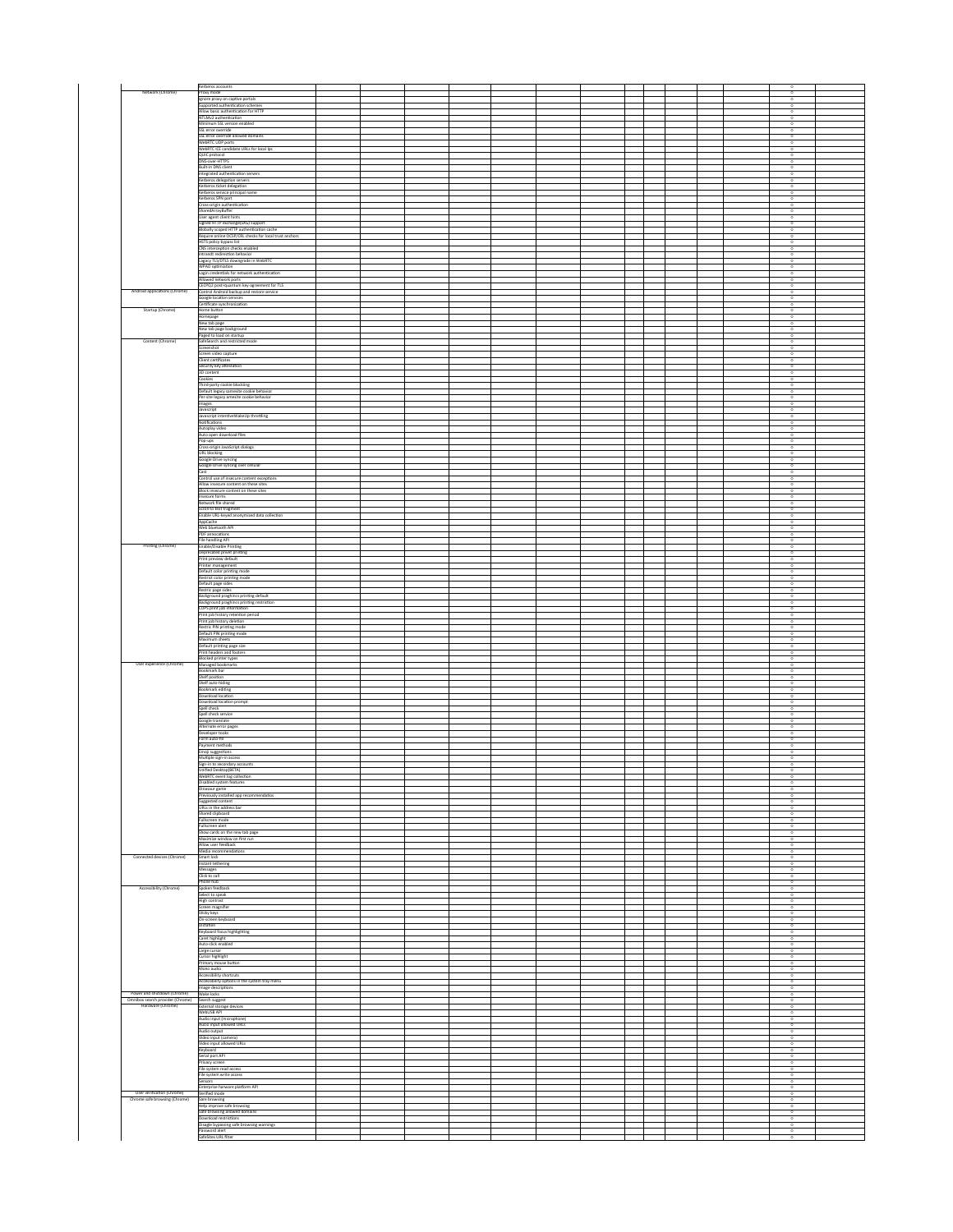| Network (Chrome)                                            | Kerberos accounts                                                                   |  |  |  |
|-------------------------------------------------------------|-------------------------------------------------------------------------------------|--|--|--|
|                                                             | Praxy mode                                                                          |  |  |  |
|                                                             | gnore proxy on captive portals                                                      |  |  |  |
|                                                             | Supported authentication schemes<br>Allow basic authentication for HTTP             |  |  |  |
|                                                             | NTLMv2 authentication                                                               |  |  |  |
|                                                             | imum SSL version enabled                                                            |  |  |  |
|                                                             | SSL error override                                                                  |  |  |  |
|                                                             | SSL error override allowed domains                                                  |  |  |  |
|                                                             | WebRTC UDP ports<br>WebRTC ICE candidate URLs for local lps                         |  |  |  |
|                                                             | QUIC protocol                                                                       |  |  |  |
|                                                             | <b>DNS-over-HTTPS</b><br>Built-in DNS dient                                         |  |  |  |
|                                                             |                                                                                     |  |  |  |
|                                                             | Integrated authentication servers<br>Kerberos delegation servers                    |  |  |  |
|                                                             | Kerberos ticket delegation                                                          |  |  |  |
|                                                             | Kerberos service principal name                                                     |  |  |  |
|                                                             | Kerberos SPN port                                                                   |  |  |  |
|                                                             | .<br>Cross-origin authentication<br>SharedArrayBuffer                               |  |  |  |
|                                                             |                                                                                     |  |  |  |
|                                                             | User agent client hints                                                             |  |  |  |
|                                                             | Signed HTTP exchange(SXG) support<br>Blobally scoped HTTP authentication cache      |  |  |  |
|                                                             | Require online OCSP/CRL checks for local trust anchors                              |  |  |  |
|                                                             | HSTS policy bypass list<br>CNS interception checks enabled                          |  |  |  |
|                                                             | Intrandt redirection behavior                                                       |  |  |  |
|                                                             |                                                                                     |  |  |  |
|                                                             | Lagacy TLS/DTLS downgrade in WebRTC                                                 |  |  |  |
|                                                             | Login credentials for network authentication                                        |  |  |  |
|                                                             | Allowed network ports<br>CECPQ2 post=quantum key-agreement for TLS                  |  |  |  |
| Android applications (Chrome)                               | Control Android backup and restore service                                          |  |  |  |
|                                                             | Google location services                                                            |  |  |  |
|                                                             | Certificate synchronization                                                         |  |  |  |
| Startup (Chrome)                                            | Home button                                                                         |  |  |  |
|                                                             | Homepage<br>New tab page                                                            |  |  |  |
|                                                             |                                                                                     |  |  |  |
|                                                             | New tab page background<br>Paged to load on startup                                 |  |  |  |
| Content (Chrome)                                            | SafeSearch and restricted mode                                                      |  |  |  |
|                                                             | Screenshot                                                                          |  |  |  |
|                                                             | Screen video capture<br>Client certificates                                         |  |  |  |
|                                                             |                                                                                     |  |  |  |
|                                                             | Security key attestation<br>3D content                                              |  |  |  |
|                                                             | Cookies                                                                             |  |  |  |
|                                                             | Third-party cookie blockling                                                        |  |  |  |
|                                                             | Default legacy samesite cookie behavior<br>Per-site legacy amesite cookie behavior  |  |  |  |
|                                                             |                                                                                     |  |  |  |
|                                                             | Images<br>Javascript                                                                |  |  |  |
|                                                             | lavascript intentiveWakeUp throttling                                               |  |  |  |
|                                                             | Notifications                                                                       |  |  |  |
|                                                             | Autoplay video<br>Auto open download files                                          |  |  |  |
|                                                             |                                                                                     |  |  |  |
|                                                             | Pop-ups<br>Cross-origin JavaScript dialogs                                          |  |  |  |
|                                                             | URL blocking                                                                        |  |  |  |
|                                                             | Google Drive syncing                                                                |  |  |  |
|                                                             | Google Drive syncing over cellular<br>Cast                                          |  |  |  |
|                                                             | Control use of insecure content exceptions                                          |  |  |  |
|                                                             | Allow insecure content on these sites                                               |  |  |  |
|                                                             | Block insecure content on these sites                                               |  |  |  |
|                                                             | Insecure forms                                                                      |  |  |  |
|                                                             | Network file shared                                                                 |  |  |  |
|                                                             | Scroll to text fragment<br>Enable URL-keyed anonymized data collection              |  |  |  |
|                                                             |                                                                                     |  |  |  |
|                                                             | AppCache<br>Web bluetooth API                                                       |  |  |  |
|                                                             | PDF annocations                                                                     |  |  |  |
| Printing (Chrome)                                           | File handling API<br>Enable/Disable Printing                                        |  |  |  |
|                                                             | Deprecated privet printing                                                          |  |  |  |
|                                                             | Print preview default                                                               |  |  |  |
|                                                             | Printer management                                                                  |  |  |  |
|                                                             | Default color printing mode                                                         |  |  |  |
|                                                             | Restrict color printing mode<br>Default page sides                                  |  |  |  |
|                                                             | Restric page sides                                                                  |  |  |  |
|                                                             | <b>Background praghincs printing default</b>                                        |  |  |  |
|                                                             | <b>Background praghincs printing restriction</b>                                    |  |  |  |
|                                                             | CUPS print job information                                                          |  |  |  |
|                                                             | Print job history retention period<br>Print job history deletion                    |  |  |  |
|                                                             | Restric PIN printing mode                                                           |  |  |  |
|                                                             |                                                                                     |  |  |  |
|                                                             |                                                                                     |  |  |  |
|                                                             | Default PIN printing mode<br>Maximum sheets                                         |  |  |  |
|                                                             | Default printing page size                                                          |  |  |  |
|                                                             | Print headers and footers<br><b>Blocked printer types</b>                           |  |  |  |
| User experience (Chrome)                                    | Managed bookmarks                                                                   |  |  |  |
|                                                             | Bookmark bar                                                                        |  |  |  |
|                                                             | Shelf position                                                                      |  |  |  |
|                                                             | Shelf auto-hiding                                                                   |  |  |  |
|                                                             | ookmark editing<br>Download location                                                |  |  |  |
|                                                             | ownload location prompt                                                             |  |  |  |
|                                                             | Spell check                                                                         |  |  |  |
|                                                             | Spell check service<br>Google translate                                             |  |  |  |
|                                                             |                                                                                     |  |  |  |
|                                                             | Alternate error pages<br>Developer tooks                                            |  |  |  |
|                                                             | Form auto-fill                                                                      |  |  |  |
|                                                             | Payment methods<br>noji suggestions                                                 |  |  |  |
|                                                             | Multiple sign-in access                                                             |  |  |  |
|                                                             |                                                                                     |  |  |  |
|                                                             | Sign-in to secondary accounts<br>Unified Desktop(BETA)                              |  |  |  |
|                                                             | WebRTC event log collection                                                         |  |  |  |
|                                                             | abled system features<br>Dinasaur game                                              |  |  |  |
|                                                             | Previously installed app recommendatios                                             |  |  |  |
|                                                             | Suggested content                                                                   |  |  |  |
|                                                             | URLs in the address bar<br>Shared clipboard                                         |  |  |  |
|                                                             | Fullscreen mode                                                                     |  |  |  |
|                                                             | Fullscreen alert                                                                    |  |  |  |
|                                                             | Show cards on the new tab page                                                      |  |  |  |
|                                                             | Maximize window on first run<br>Allow user feedback                                 |  |  |  |
|                                                             | Media recommendations                                                               |  |  |  |
| Connected devices (Chrome)                                  | Smart lock                                                                          |  |  |  |
|                                                             | Instant tethering                                                                   |  |  |  |
|                                                             | Messages<br>Click to call                                                           |  |  |  |
|                                                             | Phone hub                                                                           |  |  |  |
| Accessibility (Chrome)                                      | Spoken feedback                                                                     |  |  |  |
|                                                             | Select to speak                                                                     |  |  |  |
|                                                             | High contrast                                                                       |  |  |  |
|                                                             |                                                                                     |  |  |  |
|                                                             | Screen magnifier<br>Sticky keys<br>On-screen keyboard                               |  |  |  |
|                                                             |                                                                                     |  |  |  |
|                                                             | Dictation<br>Keyboard focus highlighting                                            |  |  |  |
|                                                             | Caret highlight<br>Auto-click enabled                                               |  |  |  |
|                                                             | Large cursor                                                                        |  |  |  |
|                                                             | Cursor highlight                                                                    |  |  |  |
|                                                             |                                                                                     |  |  |  |
|                                                             | Primary mouse button<br>Mono audio                                                  |  |  |  |
|                                                             | Accessibility shortcuts                                                             |  |  |  |
|                                                             | Accessibility options in the system tray menu<br>mage descriptions                  |  |  |  |
| Power and shutdown (Chrome)                                 | Wake locks                                                                          |  |  |  |
|                                                             | Search suggest                                                                      |  |  |  |
| Omnibax search provider (Chrome)<br>Hardware (Chrome)       | External storage devices                                                            |  |  |  |
|                                                             | WebUSB API                                                                          |  |  |  |
|                                                             | Audio input (microphone)                                                            |  |  |  |
|                                                             | Aucio input allowed URLs<br>Audio output                                            |  |  |  |
|                                                             | Video input (camera)                                                                |  |  |  |
|                                                             | Video input allowed URLs                                                            |  |  |  |
|                                                             | Keyboard                                                                            |  |  |  |
|                                                             | Serial port API<br>Privacy screen                                                   |  |  |  |
|                                                             | File system read access                                                             |  |  |  |
|                                                             | File system write access                                                            |  |  |  |
|                                                             | Sensors                                                                             |  |  |  |
|                                                             | Enterprise harware platform API                                                     |  |  |  |
| User verification (Chrome)<br>Chrome safe browsing (Chrome) | Verified mode                                                                       |  |  |  |
|                                                             | Sare browsing<br>Help improve safe browsing                                         |  |  |  |
|                                                             | Safe browsing allowed domains                                                       |  |  |  |
|                                                             |                                                                                     |  |  |  |
|                                                             | Download restrictions<br>Disagle bypassing safe browsing warnings<br>Password alert |  |  |  |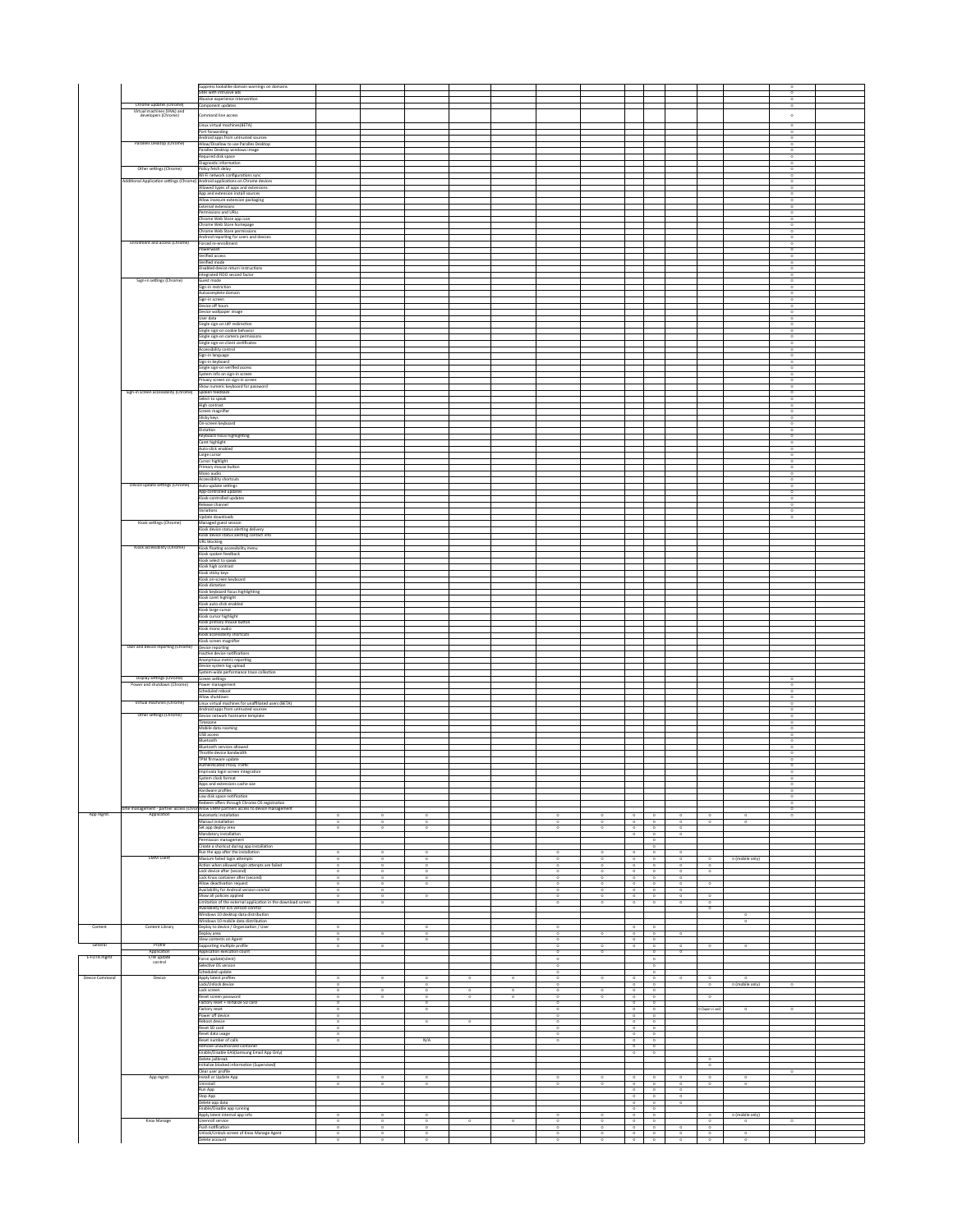|                                            |                                                       | Suppress lookalike domain warnings on domains                                              |                                     |                                     |                                     |                          |                          |                                     |                                     |                                                |                                                                 |                                     |                                                |                            |                                     |  |
|--------------------------------------------|-------------------------------------------------------|--------------------------------------------------------------------------------------------|-------------------------------------|-------------------------------------|-------------------------------------|--------------------------|--------------------------|-------------------------------------|-------------------------------------|------------------------------------------------|-----------------------------------------------------------------|-------------------------------------|------------------------------------------------|----------------------------|-------------------------------------|--|
|                                            |                                                       | Sites with intrusive ads                                                                   |                                     |                                     |                                     |                          |                          |                                     |                                     |                                                |                                                                 |                                     |                                                |                            |                                     |  |
|                                            | Chrome updates (Chrome)                               | Abusive experience intervention<br>Component updates                                       |                                     |                                     |                                     |                          |                          |                                     |                                     |                                                |                                                                 |                                     |                                                |                            | $\circ$                             |  |
|                                            | Virtual machines (VMs) and<br>developers (Chrome)     | nmand line access                                                                          |                                     |                                     |                                     |                          |                          |                                     |                                     |                                                |                                                                 |                                     |                                                |                            | $\circ$                             |  |
|                                            |                                                       |                                                                                            |                                     |                                     |                                     |                          |                          |                                     |                                     |                                                |                                                                 |                                     |                                                |                            |                                     |  |
|                                            |                                                       | Linux virtual machines(BETA)<br>Port forwarding                                            |                                     |                                     |                                     |                          |                          |                                     |                                     |                                                |                                                                 |                                     |                                                |                            | $\circ$                             |  |
|                                            |                                                       | ndroid apps from untrusted sources                                                         |                                     |                                     |                                     |                          |                          |                                     |                                     |                                                |                                                                 |                                     |                                                |                            | $\circ$                             |  |
|                                            | Parallels Desktop (Chrome)                            | Allow/Disallow to use Paralles Desktop<br>Paralles Desktop windows image                   |                                     |                                     |                                     |                          |                          |                                     |                                     |                                                |                                                                 |                                     |                                                |                            |                                     |  |
|                                            |                                                       | equired disk space                                                                         |                                     |                                     |                                     |                          |                          |                                     |                                     |                                                |                                                                 |                                     |                                                |                            | $\circ$                             |  |
|                                            | Other settings (Chrome)                               | Diagnostic information                                                                     |                                     |                                     |                                     |                          |                          |                                     |                                     |                                                |                                                                 |                                     |                                                |                            | $\circ$                             |  |
|                                            |                                                       | olicy fetch delay<br>Wi-Fi network configurations sync                                     |                                     |                                     |                                     |                          |                          |                                     |                                     |                                                |                                                                 |                                     |                                                |                            | $\circ$                             |  |
|                                            | nal Application settings (Chr                         | indroid applications on Chrome devices                                                     |                                     |                                     |                                     |                          |                          |                                     |                                     |                                                |                                                                 |                                     |                                                |                            | $\circ$                             |  |
|                                            |                                                       | Allowed types of apps and extension<br>App and extension install sources                   |                                     |                                     |                                     |                          |                          |                                     |                                     |                                                |                                                                 |                                     |                                                |                            | $\circ$                             |  |
|                                            |                                                       | llow insecure extension packaging                                                          |                                     |                                     |                                     |                          |                          |                                     |                                     |                                                |                                                                 |                                     |                                                |                            |                                     |  |
|                                            |                                                       | <b>External extensions</b>                                                                 |                                     |                                     |                                     |                          |                          |                                     |                                     |                                                |                                                                 |                                     |                                                |                            |                                     |  |
|                                            |                                                       | Permissions and URLs<br>Chrome Web Store app icon                                          |                                     |                                     |                                     |                          |                          |                                     |                                     |                                                |                                                                 |                                     |                                                |                            | $\circ$<br>$\circ$                  |  |
|                                            |                                                       | Chrome Web Store homepage                                                                  |                                     |                                     |                                     |                          |                          |                                     |                                     |                                                |                                                                 |                                     |                                                |                            |                                     |  |
|                                            |                                                       | Chrome Web Store permissions<br>droid reporting for users and devices                      |                                     |                                     |                                     |                          |                          |                                     |                                     |                                                |                                                                 |                                     |                                                |                            | $\circ$                             |  |
|                                            | Enrollment and access (Chrome)                        | Forced re-enrollment                                                                       |                                     |                                     |                                     |                          |                          |                                     |                                     |                                                |                                                                 |                                     |                                                |                            |                                     |  |
|                                            |                                                       | owerwash                                                                                   |                                     |                                     |                                     |                          |                          |                                     |                                     |                                                |                                                                 |                                     |                                                |                            | $\circ$                             |  |
|                                            |                                                       | erified access<br>/erified mode                                                            |                                     |                                     |                                     |                          |                          |                                     |                                     |                                                |                                                                 |                                     |                                                |                            |                                     |  |
|                                            |                                                       | Disabled device return instructions                                                        |                                     |                                     |                                     |                          |                          |                                     |                                     |                                                |                                                                 |                                     |                                                |                            | $\circ$                             |  |
|                                            | Sign-in settings (Chrome)                             | tegrated FIDO second factor<br>Guest mode                                                  |                                     |                                     |                                     |                          |                          |                                     |                                     |                                                |                                                                 |                                     |                                                |                            |                                     |  |
|                                            |                                                       | Sign-in restriction                                                                        |                                     |                                     |                                     |                          |                          |                                     |                                     |                                                |                                                                 |                                     |                                                |                            | $\circ$                             |  |
|                                            |                                                       | tocomplete dom<br>Sign-in screen                                                           |                                     |                                     |                                     |                          |                          |                                     |                                     |                                                |                                                                 |                                     |                                                |                            | $\circ$                             |  |
|                                            |                                                       | Device off hours                                                                           |                                     |                                     |                                     |                          |                          |                                     |                                     |                                                |                                                                 |                                     |                                                |                            | $\circ$                             |  |
|                                            |                                                       | Device wallpaper image<br>User data                                                        |                                     |                                     |                                     |                          |                          |                                     |                                     |                                                |                                                                 |                                     |                                                |                            | $\sim$                              |  |
|                                            |                                                       | Single sign-on IdP redirection                                                             |                                     |                                     |                                     |                          |                          |                                     |                                     |                                                |                                                                 |                                     |                                                |                            | $\circ$                             |  |
|                                            |                                                       | Single sign-on cookie behavior                                                             |                                     |                                     |                                     |                          |                          |                                     |                                     |                                                |                                                                 |                                     |                                                |                            |                                     |  |
|                                            |                                                       | Single sign-on camera permissions<br>Single sign-on client certificates                    |                                     |                                     |                                     |                          |                          |                                     |                                     |                                                |                                                                 |                                     |                                                |                            | $\circ$                             |  |
|                                            |                                                       | ccessibility control                                                                       |                                     |                                     |                                     |                          |                          |                                     |                                     |                                                |                                                                 |                                     |                                                |                            |                                     |  |
|                                            |                                                       | Sign-in language<br>Sign-in keyboard                                                       |                                     |                                     |                                     |                          |                          |                                     |                                     |                                                |                                                                 |                                     |                                                |                            | $\circ$                             |  |
|                                            |                                                       | Single sign-on verified access                                                             |                                     |                                     |                                     |                          |                          |                                     |                                     |                                                |                                                                 |                                     |                                                |                            |                                     |  |
|                                            |                                                       | System info on sign-in screen                                                              |                                     |                                     |                                     |                          |                          |                                     |                                     |                                                |                                                                 |                                     |                                                |                            |                                     |  |
|                                            |                                                       | Privacy screen on sign-in screen<br>Show numeric keyboard for password                     |                                     |                                     |                                     |                          |                          |                                     |                                     |                                                |                                                                 |                                     |                                                |                            |                                     |  |
|                                            | Sign-in screen accessibility (Chrome)                 | Spoken feedback                                                                            |                                     |                                     |                                     |                          |                          |                                     |                                     |                                                |                                                                 |                                     |                                                |                            |                                     |  |
|                                            |                                                       | Select to speak<br><b>High contrast</b>                                                    |                                     |                                     |                                     |                          |                          |                                     |                                     |                                                |                                                                 |                                     |                                                |                            | $\circ$                             |  |
|                                            |                                                       | Screen magnifier                                                                           |                                     |                                     |                                     |                          |                          |                                     |                                     |                                                |                                                                 |                                     |                                                |                            | $\circ$                             |  |
|                                            |                                                       | Sticky keys<br>On-screen keyboard                                                          |                                     |                                     |                                     |                          |                          |                                     |                                     |                                                |                                                                 |                                     |                                                |                            | 7                                   |  |
|                                            |                                                       | Dictation                                                                                  |                                     |                                     |                                     |                          |                          |                                     |                                     |                                                |                                                                 |                                     |                                                |                            | $\sim$                              |  |
|                                            |                                                       | Keyboard focus highlighting                                                                |                                     |                                     |                                     |                          |                          |                                     |                                     |                                                |                                                                 |                                     |                                                |                            |                                     |  |
|                                            |                                                       | Caret highlight<br>Auto-click enabled                                                      |                                     |                                     |                                     |                          |                          |                                     |                                     |                                                |                                                                 |                                     |                                                |                            |                                     |  |
|                                            |                                                       | Large cursor                                                                               |                                     |                                     |                                     |                          |                          |                                     |                                     |                                                |                                                                 |                                     |                                                |                            | $\circ$                             |  |
|                                            |                                                       | <b>Cursor highlight</b><br>Primary mouse button                                            |                                     |                                     |                                     |                          |                          |                                     |                                     |                                                |                                                                 |                                     |                                                |                            | $\circ$                             |  |
|                                            |                                                       | ono audio                                                                                  |                                     |                                     |                                     |                          |                          |                                     |                                     |                                                |                                                                 |                                     |                                                |                            | $\circ$                             |  |
|                                            | Device update settings (Chrome)                       | Accessibility shortcuts<br>Auto-update settings                                            |                                     |                                     |                                     |                          |                          |                                     |                                     |                                                |                                                                 |                                     |                                                |                            |                                     |  |
|                                            |                                                       | App-controlled updates                                                                     |                                     |                                     |                                     |                          |                          |                                     |                                     |                                                |                                                                 |                                     |                                                |                            |                                     |  |
|                                            |                                                       | iosk-controlled updates<br>Release channel                                                 |                                     |                                     |                                     |                          |                          |                                     |                                     |                                                |                                                                 |                                     |                                                |                            |                                     |  |
|                                            |                                                       | Variations                                                                                 |                                     |                                     |                                     |                          |                          |                                     |                                     |                                                |                                                                 |                                     |                                                |                            | $\circ$                             |  |
|                                            | Kiosk settings (Chrome)                               | Jpdate downloads                                                                           |                                     |                                     |                                     |                          |                          |                                     |                                     |                                                |                                                                 |                                     |                                                |                            | $\circ$                             |  |
|                                            |                                                       | Managed guest session<br>Kiosk device status alerting delivery                             |                                     |                                     |                                     |                          |                          |                                     |                                     |                                                |                                                                 |                                     |                                                |                            |                                     |  |
|                                            |                                                       | Kiosk device status alerting contact info                                                  |                                     |                                     |                                     |                          |                          |                                     |                                     |                                                |                                                                 |                                     |                                                |                            |                                     |  |
|                                            | Kiosk accessibility (Chrome)                          | URL blocking<br>Kiosk floating accessibility menu                                          |                                     |                                     |                                     |                          |                          |                                     |                                     |                                                |                                                                 |                                     |                                                |                            |                                     |  |
|                                            |                                                       | Kiosk spoken feedback                                                                      |                                     |                                     |                                     |                          |                          |                                     |                                     |                                                |                                                                 |                                     |                                                |                            |                                     |  |
|                                            |                                                       | Kiosk select to speak<br>Kiosk high contrast                                               |                                     |                                     |                                     |                          |                          |                                     |                                     |                                                |                                                                 |                                     |                                                |                            |                                     |  |
|                                            |                                                       | Kiosk sticky keys                                                                          |                                     |                                     |                                     |                          |                          |                                     |                                     |                                                |                                                                 |                                     |                                                |                            |                                     |  |
|                                            |                                                       | Kiosk on-screen keyboard                                                                   |                                     |                                     |                                     |                          |                          |                                     |                                     |                                                |                                                                 |                                     |                                                |                            |                                     |  |
|                                            |                                                       | Kiosk dictation<br>Gosk keyboard focus highlighting                                        |                                     |                                     |                                     |                          |                          |                                     |                                     |                                                |                                                                 |                                     |                                                |                            |                                     |  |
|                                            |                                                       | Kiosk caret highlight                                                                      |                                     |                                     |                                     |                          |                          |                                     |                                     |                                                |                                                                 |                                     |                                                |                            |                                     |  |
|                                            |                                                       | Kiosk auto-click enabled<br>Gosk large cursor                                              |                                     |                                     |                                     |                          |                          |                                     |                                     |                                                |                                                                 |                                     |                                                |                            |                                     |  |
|                                            |                                                       | Kiosk cursor highlight                                                                     |                                     |                                     |                                     |                          |                          |                                     |                                     |                                                |                                                                 |                                     |                                                |                            |                                     |  |
|                                            |                                                       | Kiosk primary mouse button<br>Kiosk mono audio                                             |                                     |                                     |                                     |                          |                          |                                     |                                     |                                                |                                                                 |                                     |                                                |                            |                                     |  |
|                                            |                                                       | Gosk accessibility shortcuts                                                               |                                     |                                     |                                     |                          |                          |                                     |                                     |                                                |                                                                 |                                     |                                                |                            |                                     |  |
|                                            |                                                       | Gosk screen magnifier                                                                      |                                     |                                     |                                     |                          |                          |                                     |                                     |                                                |                                                                 |                                     |                                                |                            |                                     |  |
|                                            | User and device reporting (Chron                      | Device reporting<br>Inactive device notifications                                          |                                     |                                     |                                     |                          |                          |                                     |                                     |                                                |                                                                 |                                     |                                                |                            |                                     |  |
|                                            |                                                       | honymous metric reporting                                                                  |                                     |                                     |                                     |                          |                          |                                     |                                     |                                                |                                                                 |                                     |                                                |                            |                                     |  |
|                                            |                                                       |                                                                                            |                                     |                                     |                                     |                          |                          |                                     |                                     |                                                |                                                                 |                                     |                                                |                            |                                     |  |
|                                            |                                                       | Device system log upload                                                                   |                                     |                                     |                                     |                          |                          |                                     |                                     |                                                |                                                                 |                                     |                                                |                            |                                     |  |
|                                            | Display settings (Chrome)                             | System-wide performance trace collection<br>Screen settings                                |                                     |                                     |                                     |                          |                          |                                     |                                     |                                                |                                                                 |                                     |                                                |                            | $\circ$                             |  |
|                                            | Power and shutdown (Chrome)                           | Power management                                                                           |                                     |                                     |                                     |                          |                          |                                     |                                     |                                                |                                                                 |                                     |                                                |                            | $^\circ$                            |  |
|                                            |                                                       | reduled reboot                                                                             |                                     |                                     |                                     |                          |                          |                                     |                                     |                                                |                                                                 |                                     |                                                |                            | $\circ$<br>$\circ$                  |  |
|                                            | Virtual machines (Chrome)                             | low shutdown<br>Linux virtual machines for unaffiliated users (BETA)                       |                                     |                                     |                                     |                          |                          |                                     |                                     |                                                |                                                                 |                                     |                                                |                            |                                     |  |
|                                            | Other settings (Chrome)                               | Android apps from untrusted sources<br>Device network hostname template                    |                                     |                                     |                                     |                          |                          |                                     |                                     |                                                |                                                                 |                                     |                                                |                            |                                     |  |
|                                            |                                                       | imezone                                                                                    |                                     |                                     |                                     |                          |                          |                                     |                                     |                                                |                                                                 |                                     |                                                |                            |                                     |  |
|                                            |                                                       | Mobile data roaming                                                                        |                                     |                                     |                                     |                          |                          |                                     |                                     |                                                |                                                                 |                                     |                                                |                            |                                     |  |
|                                            |                                                       | USB access<br>luetooth                                                                     |                                     |                                     |                                     |                          |                          |                                     |                                     |                                                |                                                                 |                                     |                                                |                            | $\circ$                             |  |
|                                            |                                                       | luetooth services allowed                                                                  |                                     |                                     |                                     |                          |                          |                                     |                                     |                                                |                                                                 |                                     |                                                |                            | $\circ$                             |  |
|                                            |                                                       | Throttle device bandwidth<br>TPM firmware update                                           |                                     |                                     |                                     |                          |                          |                                     |                                     |                                                |                                                                 |                                     |                                                |                            | $\circ$<br>$\overline{\phantom{a}}$ |  |
|                                            |                                                       | Authenticated Proxy Traffic                                                                |                                     |                                     |                                     |                          |                          |                                     |                                     |                                                |                                                                 |                                     |                                                |                            | $\circ$                             |  |
|                                            |                                                       | Imprivata login screen integration                                                         |                                     |                                     |                                     |                          |                          |                                     |                                     |                                                |                                                                 |                                     |                                                |                            | $\circ$                             |  |
|                                            |                                                       | Apps and extensions cache size                                                             |                                     |                                     |                                     |                          |                          |                                     |                                     |                                                |                                                                 |                                     |                                                |                            | $\circ$                             |  |
|                                            |                                                       | Hardware profiles                                                                          |                                     |                                     |                                     |                          |                          |                                     |                                     |                                                |                                                                 |                                     |                                                |                            | $\circ$<br>$\overline{\phantom{a}}$ |  |
|                                            |                                                       | Low disk space notification<br>Redeem offers through Chrome OS registration                |                                     |                                     |                                     |                          |                          |                                     |                                     |                                                |                                                                 |                                     |                                                |                            | $\circ$                             |  |
|                                            | nt - partner access (Chi<br>me managem<br>Application | Allow EMM partners access to device management<br>Automatic installation                   | $\overline{\phantom{a}}$            | $\overline{\phantom{a}}$            | $\overline{\phantom{a}}$            |                          |                          | $\overline{\phantom{a}}$            | $\overline{\phantom{a}}$            |                                                | $-$                                                             | $\overline{\phantom{a}}$            | $\overline{\phantom{a}}$                       | $\overline{\phantom{a}}$   | $\circ$<br>$\overline{\phantom{a}}$ |  |
|                                            |                                                       | Manaul installation                                                                        | $\circ$                             | $\circ$                             | $\circ$                             |                          |                          | $\circ$                             | $\circ$                             |                                                | $\circ$ $\circ$                                                 | $\circ$                             | $\circ$                                        | $\circ$                    |                                     |  |
|                                            |                                                       | Set app deploy area                                                                        | $\circ$                             | $\circ$                             | $\circ$                             |                          |                          | $\circ$                             | $\circ$                             | $\overline{\phantom{a}}$                       | $\bullet$                                                       | $\bullet$                           |                                                |                            |                                     |  |
|                                            |                                                       | Mandatory installation<br>Permission management                                            |                                     |                                     |                                     |                          |                          |                                     |                                     |                                                | $\overline{\ }$<br>$\circ$                                      | $\overline{\phantom{a}}$            |                                                |                            |                                     |  |
|                                            |                                                       | Create a shortcut during app installation                                                  |                                     |                                     |                                     |                          |                          |                                     |                                     |                                                | $\circ$                                                         |                                     |                                                |                            |                                     |  |
|                                            | <b>EMM Client</b>                                     | Run the app after the installation<br>Maxium failed login attempts                         | $\overline{\phantom{a}}$<br>$\circ$ | $\overline{\phantom{a}}$<br>$\circ$ | $\overline{\phantom{a}}$<br>$\circ$ |                          |                          | $\overline{\phantom{a}}$<br>$\circ$ | $\overline{\phantom{a}}$<br>$\circ$ |                                                | $\circ$ $\circ$<br>$\circ$ $\circ$                              | $\overline{\phantom{a}}$<br>$\circ$ | $\circ$                                        | o (mobile only)            |                                     |  |
|                                            |                                                       |                                                                                            | $\circ$                             | $\circ$                             | $\circ$                             |                          |                          | $\circ$                             | $\circ$                             | $\circ$                                        | $\circ$                                                         | $\circ$                             |                                                |                            |                                     |  |
|                                            |                                                       | Action when allowed login attempts are failed<br>Lock device after (second)                | $\overline{\phantom{a}}$            | $\overline{\phantom{a}}$            | $\overline{\phantom{a}}$            |                          |                          | $\overline{\phantom{a}}$            | $\overline{\phantom{a}}$            |                                                | $\overline{\phantom{a}}$                                        | $\overline{\phantom{a}}$            | ÷                                              |                            |                                     |  |
|                                            |                                                       | Lock Knox container after (second)<br>Allow deactivation request                           | $\circ$                             | $\circ$<br>$\overline{\ }$          | $\circ$                             |                          |                          | $\circ$<br>$\overline{\ }$          | $\circ$                             | $\sim$<br>$\overline{\ }$                      | $\sim$<br>$\circ$                                               | $\circ$<br>$\circ$                  | $\overline{\ }$                                |                            |                                     |  |
|                                            |                                                       | Availability for Android version conrtol                                                   | $\overline{\phantom{a}}$            | $\overline{\phantom{a}}$            |                                     |                          |                          | $\overline{\phantom{a}}$            | $\overline{\phantom{a}}$            |                                                | $\circ$ $\circ$                                                 | $\overline{\phantom{a}}$            |                                                |                            |                                     |  |
|                                            |                                                       | Show all policies applied<br>Limitation of the external application in the download screen | $\circ$<br>$\circ$                  | $\circ$<br>$\circ$                  | $\circ$                             |                          |                          | $\circ$<br>$\overline{\phantom{a}}$ | $\circ$<br>$\circ$                  | $\overline{\ }$                                | $\circ$ $\circ$<br>$\circ$                                      | $\circ$<br>$\circ$                  | $\circ$<br>$\circ$                             |                            |                                     |  |
|                                            |                                                       | Availability for iOS version conrtol                                                       |                                     |                                     |                                     |                          |                          |                                     |                                     |                                                |                                                                 |                                     | $\circ$                                        |                            |                                     |  |
|                                            |                                                       | Windows 10 desktop data distribution<br>ndows 10 mobile data distribut                     |                                     |                                     |                                     |                          |                          |                                     |                                     |                                                |                                                                 |                                     |                                                | $\circ$<br>$\circ$         |                                     |  |
|                                            | Content Library                                       | Deploy to device / Organization / User                                                     | $\overline{\phantom{0}}$            |                                     | $\overline{\phantom{0}}$            |                          |                          | $\overline{\phantom{a}}$            |                                     |                                                | $\circ$ $\circ$                                                 |                                     |                                                |                            |                                     |  |
|                                            |                                                       | Deploy area<br>View contents on Agent                                                      | $\circ$<br>$\overline{\ }$          | $\circ$                             | $\circ$                             |                          |                          | $\circ$<br>$\overline{\phantom{0}}$ | $\circ$                             | $\circ$                                        | $\circ$ $\circ$<br>$\circ$                                      | $\circ$                             |                                                |                            |                                     |  |
|                                            | Profile                                               | Supporting multiple profile                                                                | $\circ$                             | $\overline{\phantom{a}}$            |                                     |                          |                          | $\overline{\phantom{a}}$            | $\overline{\phantom{a}}$            |                                                | $\circ$ $\circ$                                                 | $\circ$                             | $\circ$                                        | $\overline{\phantom{a}}$   |                                     |  |
|                                            | Application                                           | Application execution count                                                                |                                     |                                     |                                     |                          |                          | $\circ$                             | $\circ$                             |                                                | $\circ$                                                         | $\circ$                             |                                                |                            |                                     |  |
|                                            | F/W update<br>control                                 | Force update(silent)<br>Selective OS version                                               |                                     |                                     |                                     |                          |                          | $^{\circ}$<br>$\circ$               |                                     |                                                | $\circ$<br>$\circ$                                              |                                     |                                                |                            |                                     |  |
|                                            |                                                       | cheduled update                                                                            |                                     |                                     |                                     |                          |                          | $\circ$                             |                                     |                                                | $^{\circ}$                                                      |                                     |                                                |                            |                                     |  |
|                                            | Device                                                | Apply latest profiles<br>Lock/Unlock device                                                | $\overline{\phantom{a}}$<br>$\circ$ | $\circ$                             | $\circ$<br>$\circ$                  | $\overline{\phantom{a}}$ | $\overline{\phantom{0}}$ | $\overline{\phantom{a}}$<br>$\circ$ | $\overline{\phantom{a}}$            | $\overline{\phantom{a}}$<br>$\circ$            | □<br>$\circ$                                                    | $\overline{\phantom{a}}$            | $\overline{\ }$<br>$\circ$                     | $\circ$<br>o (mobile only) |                                     |  |
|                                            |                                                       | Lock screen                                                                                | $\circ$                             | $\circ$                             | $\circ$                             | $\circ$                  | $\circ$                  | $\circ$                             | $\circ$                             |                                                | $\circ$ $\circ$                                                 |                                     |                                                |                            |                                     |  |
|                                            |                                                       | Reset screen password                                                                      | $\circ$<br>$\circ$                  | $\circ$                             | $\circ$<br>$\circ$                  | $\circ$                  | $\circ$                  | $\circ$<br>$\circ$                  | $\overline{\phantom{a}}$            |                                                | $\circ$ $\circ$                                                 |                                     | $\overline{\ }$                                |                            |                                     |  |
|                                            |                                                       | Factory reset + Initialize SD card<br>Factory reset                                        | $\circ$                             |                                     | $\circ$                             |                          |                          | $^\circ$                            |                                     |                                                | $\circ$ $\circ$<br>$\circ$ $\circ$                              |                                     | O (Supervised)                                 | $\circ$                    | $\circ$                             |  |
|                                            |                                                       | Power off device                                                                           | $\circ$                             |                                     |                                     |                          |                          | $\circ$                             |                                     |                                                | $\circ$ $\circ$                                                 |                                     |                                                |                            |                                     |  |
|                                            |                                                       | Reboot device<br>Reset SD card                                                             | $\circ$                             |                                     | $\circ$                             | $\circ$                  |                          | $\circ$<br>$\circ$                  |                                     |                                                | $\circ$ $\circ$                                                 |                                     |                                                |                            |                                     |  |
|                                            |                                                       | Reset data usage                                                                           | $\circ$                             |                                     |                                     |                          |                          | $\circ$                             |                                     |                                                | $\frac{1}{\circ}$                                               |                                     |                                                |                            |                                     |  |
|                                            |                                                       | Reset number of calls                                                                      | $\circ$                             |                                     | N/A                                 |                          |                          | $\circ$                             |                                     | $\circ$                                        | $\circ$                                                         |                                     |                                                |                            |                                     |  |
|                                            |                                                       | Remove unauthorized container<br>Enable/Disable EAS(Samsung Email App Only)                |                                     |                                     |                                     |                          |                          |                                     |                                     |                                                | $0$ 0<br>$\circ$ $\circ$                                        |                                     |                                                |                            |                                     |  |
|                                            |                                                       | Delete jailbreak                                                                           |                                     |                                     |                                     |                          |                          |                                     |                                     |                                                |                                                                 |                                     | $\circ$                                        |                            |                                     |  |
|                                            |                                                       | Initialize blocked information (Supervised)<br>Clear user profile                          |                                     |                                     |                                     |                          |                          |                                     |                                     |                                                |                                                                 |                                     | $\circ$                                        |                            | $\circ$                             |  |
|                                            | App mgmt.                                             | Install or Update App                                                                      | $\circ$                             | $\circ$                             | $\circ$                             |                          |                          | $\circ$                             | $\circ$                             | $\circ$                                        | $\circ$                                                         | $\circ$                             | $\circ$                                        | $\circ$                    |                                     |  |
|                                            |                                                       | Uninstall<br>Run App                                                                       | $\overline{\phantom{a}}$            | $\overline{\phantom{a}}$            | $\overline{\phantom{0}}$            |                          |                          | $\circ$                             |                                     | $\overline{\phantom{a}}$<br>$\circ$            | $\overline{\phantom{a}}$<br>$\overline{\phantom{a}}$            | $\frac{1}{\sigma}$                  | $\overline{\phantom{a}}$                       | $\circ$                    |                                     |  |
| App mgmt.<br>E-FOTA mgmt<br>Device Command |                                                       | Stop App                                                                                   |                                     |                                     |                                     |                          |                          |                                     |                                     | $\circ$                                        | $\circ$                                                         | $\circ$                             |                                                |                            |                                     |  |
|                                            |                                                       | Delete app data<br>Enable/Disable app running                                              |                                     |                                     |                                     |                          |                          |                                     |                                     | $\circ$                                        | $\circ$<br>$\circ$ $\circ$                                      | $\circ$                             |                                                |                            |                                     |  |
|                                            |                                                       | Apply latest internal app info                                                             | $\circ$                             | $\circ$                             | $\circ$                             |                          |                          | $^{\circ}$                          | $\circ$                             | $\circ$                                        | $\overline{\phantom{a}}$                                        |                                     | $\circ$                                        | o (mobile only)            |                                     |  |
|                                            | Knox Manage                                           | Unenroll service                                                                           | $\overline{\phantom{a}}$            | $\circ$                             | $\overline{\phantom{a}}$            | $\overline{\ }$          | $\overline{\phantom{a}}$ | $\overline{\ }$                     | $\overline{\phantom{a}}$            | $\circ$                                        | $\overline{\ }$                                                 |                                     | $\circ$                                        | $\circ$                    |                                     |  |
|                                            |                                                       | Push notification<br>Unlock/Unlock screen of Knox Manage Agent<br>Delete account           | $\circ$<br>$\circ$                  | $\circ$<br>$\circ$                  | $\circ$<br>$\circ$                  |                          |                          | $\circ$<br>$\circ$                  | $\circ$                             | $\circ$<br>$\circ$<br>$\overline{\phantom{a}}$ | $\circ$<br>$\overline{\phantom{a}}$<br>$\overline{\phantom{a}}$ | $\circ$<br>$^{\circ}$               | $\circ$<br>$\circ$<br>$\overline{\phantom{a}}$ | $\circ$                    |                                     |  |